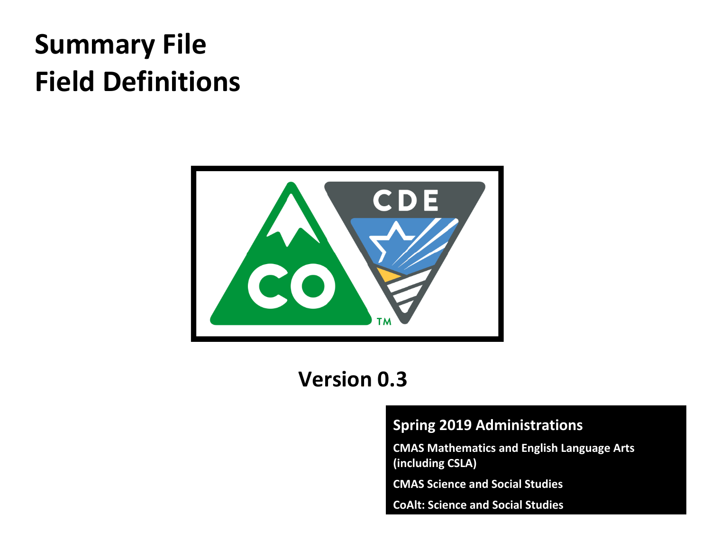# **Summary File Field Definitions**



# **Version 0.3**

### **Spring 2019 Administrations**

**CMAS Mathematics and English Language Arts (including CSLA)**

**CMAS Science and Social Studies**

**CoAlt: Science and Social Studies**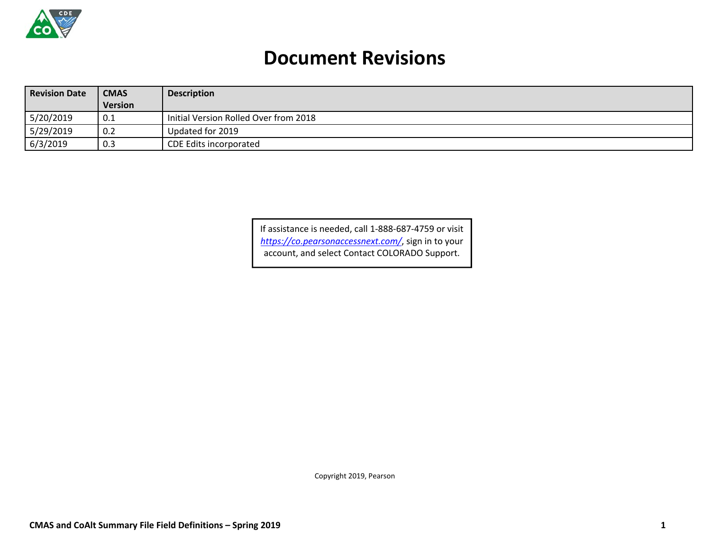

## **Document Revisions**

| <b>Revision Date</b> | <b>CMAS</b> | <b>Description</b>                    |  |  |
|----------------------|-------------|---------------------------------------|--|--|
|                      | Version     |                                       |  |  |
| 5/20/2019            | 0.1         | Initial Version Rolled Over from 2018 |  |  |
| 5/29/2019            | 0.2         | Updated for 2019                      |  |  |
| 6/3/2019             | 0.3         | <b>CDE Edits incorporated</b>         |  |  |

If assistance is needed, call 1‐888‐687‐4759 or visit *https://co.pearsonaccessnext.com/*, sign in to your account, and select Contact COLORADO Support.

Copyright 2019, Pearson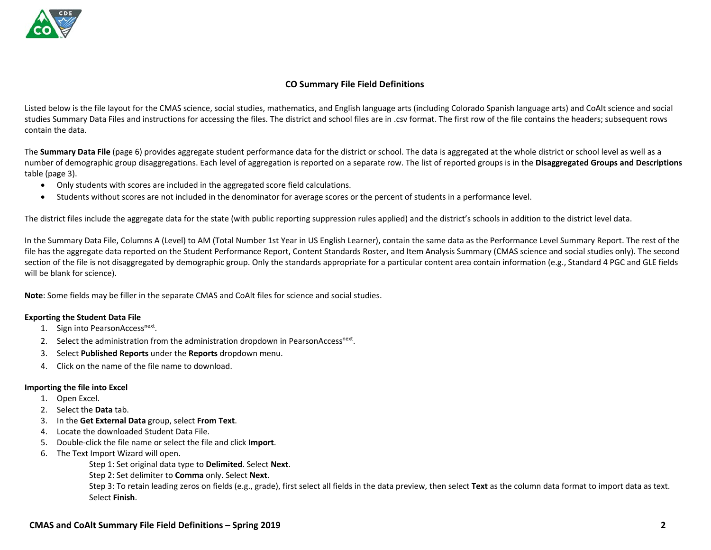#### **CO Summary File Field Definitions**

Listed below is the file layout for the CMAS science, social studies, mathematics, and English language arts (including Colorado Spanish language arts) and CoAlt science and social studies Summary Data Files and instructions for accessing the files. The district and school files are in .csv format. The first row of the file contains the headers; subsequent rows contain the data.

The **Summary Data File** (page 6) provides aggregate student performance data for the district or school. The data is aggregated at the whole district or school level as well as <sup>a</sup> number of demographic group disaggregations. Each level of aggregation is reported on <sup>a</sup> separate row. The list of reported groups is in the **Disaggregated Groups and Descriptions** table (page 3).

- Only students with scores are included in the aggregated score field calculations.
- $\bullet$ Students without scores are not included in the denominator for average scores or the percent of students in <sup>a</sup> performance level.

The district files include the aggregate data for the state (with public reporting suppression rules applied) and the district's schools in addition to the district level data.

In the Summary Data File, Columns A (Level) to AM (Total Number 1st Year in US English Learner), contain the same data as the Performance Level Summary Report. The rest of the file has the aggregate data reported on the Student Performance Report, Content Standards Roster, and Item Analysis Summary (CMAS science and social studies only). The second section of the file is not disaggregated by demographic group. Only the standards appropriate for <sup>a</sup> particular content area contain information (e.g., Standard 4 PGC and GLE fields will be blank for science).

**Note**: Some fields may be filler in the separate CMAS and CoAlt files for science and social studies.

#### **Exporting the Student Data File**

- 1. Sign into PearsonAccess<sup>next</sup>.
- 2. Select the administration from the administration dropdown in PearsonAccess<sup>next</sup>.
- 3. Select **Published Reports** under the **Reports** dropdown menu.
- 4. Click on the name of the file name to download.

#### **Importing the file into Excel**

- 1. Open Excel.
- 2. Select the **Data** tab.
- 3. In the **Get External Data** group, select **From Text**.
- 4. Locate the downloaded Student Data File.
- 5. Double‐click the file name or select the file and click **Import**.
- 6. The Text Import Wizard will open.

Step 1: Set original data type to **Delimited**. Select **Next**.

Step 2: Set delimiter to **Comma** only. Select **Next**.

Step 3: To retain leading zeros on fields (e.g., grade), first select all fields in the data preview, then select **Text** as the column data format to import data as text. Select **Finish**.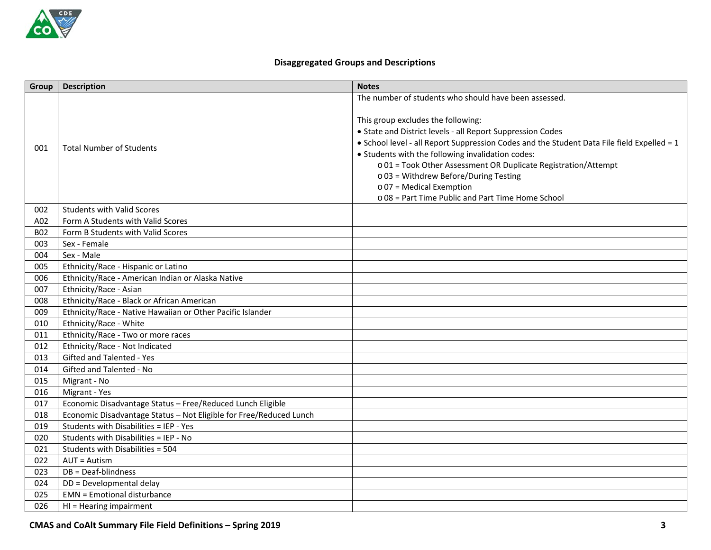#### **Disaggregated Groups and Descriptions**

| Group      | <b>Description</b>                                                 | <b>Notes</b>                                                                                                                                                                                                                                                                                                                                                                                                                                          |
|------------|--------------------------------------------------------------------|-------------------------------------------------------------------------------------------------------------------------------------------------------------------------------------------------------------------------------------------------------------------------------------------------------------------------------------------------------------------------------------------------------------------------------------------------------|
|            |                                                                    | The number of students who should have been assessed.                                                                                                                                                                                                                                                                                                                                                                                                 |
| 001        | <b>Total Number of Students</b>                                    | This group excludes the following:<br>• State and District levels - all Report Suppression Codes<br>• School level - all Report Suppression Codes and the Student Data File field Expelled = 1<br>• Students with the following invalidation codes:<br>o 01 = Took Other Assessment OR Duplicate Registration/Attempt<br>o 03 = Withdrew Before/During Testing<br>$\circ$ 07 = Medical Exemption<br>o 08 = Part Time Public and Part Time Home School |
| 002        | <b>Students with Valid Scores</b>                                  |                                                                                                                                                                                                                                                                                                                                                                                                                                                       |
| A02        | Form A Students with Valid Scores                                  |                                                                                                                                                                                                                                                                                                                                                                                                                                                       |
| <b>B02</b> | Form B Students with Valid Scores                                  |                                                                                                                                                                                                                                                                                                                                                                                                                                                       |
| 003        | Sex - Female                                                       |                                                                                                                                                                                                                                                                                                                                                                                                                                                       |
| 004        | Sex - Male                                                         |                                                                                                                                                                                                                                                                                                                                                                                                                                                       |
| 005        | Ethnicity/Race - Hispanic or Latino                                |                                                                                                                                                                                                                                                                                                                                                                                                                                                       |
| 006        | Ethnicity/Race - American Indian or Alaska Native                  |                                                                                                                                                                                                                                                                                                                                                                                                                                                       |
| 007        | Ethnicity/Race - Asian                                             |                                                                                                                                                                                                                                                                                                                                                                                                                                                       |
| 008        | Ethnicity/Race - Black or African American                         |                                                                                                                                                                                                                                                                                                                                                                                                                                                       |
| 009        | Ethnicity/Race - Native Hawaiian or Other Pacific Islander         |                                                                                                                                                                                                                                                                                                                                                                                                                                                       |
| 010        | Ethnicity/Race - White                                             |                                                                                                                                                                                                                                                                                                                                                                                                                                                       |
| 011        | Ethnicity/Race - Two or more races                                 |                                                                                                                                                                                                                                                                                                                                                                                                                                                       |
| 012        | Ethnicity/Race - Not Indicated                                     |                                                                                                                                                                                                                                                                                                                                                                                                                                                       |
| 013        | Gifted and Talented - Yes                                          |                                                                                                                                                                                                                                                                                                                                                                                                                                                       |
| 014        | Gifted and Talented - No                                           |                                                                                                                                                                                                                                                                                                                                                                                                                                                       |
| 015        | Migrant - No                                                       |                                                                                                                                                                                                                                                                                                                                                                                                                                                       |
| 016        | Migrant - Yes                                                      |                                                                                                                                                                                                                                                                                                                                                                                                                                                       |
| 017        | Economic Disadvantage Status - Free/Reduced Lunch Eligible         |                                                                                                                                                                                                                                                                                                                                                                                                                                                       |
| 018        | Economic Disadvantage Status - Not Eligible for Free/Reduced Lunch |                                                                                                                                                                                                                                                                                                                                                                                                                                                       |
| 019        | Students with Disabilities = IEP - Yes                             |                                                                                                                                                                                                                                                                                                                                                                                                                                                       |
| 020        | Students with Disabilities = IEP - No                              |                                                                                                                                                                                                                                                                                                                                                                                                                                                       |
| 021        | Students with Disabilities = 504                                   |                                                                                                                                                                                                                                                                                                                                                                                                                                                       |
| 022        | $AUT = Autism$                                                     |                                                                                                                                                                                                                                                                                                                                                                                                                                                       |
| 023        | DB = Deaf-blindness                                                |                                                                                                                                                                                                                                                                                                                                                                                                                                                       |
| 024        | DD = Developmental delay                                           |                                                                                                                                                                                                                                                                                                                                                                                                                                                       |
| 025        | <b>EMN</b> = Emotional disturbance                                 |                                                                                                                                                                                                                                                                                                                                                                                                                                                       |
| 026        | $HI = Hearing impairment$                                          |                                                                                                                                                                                                                                                                                                                                                                                                                                                       |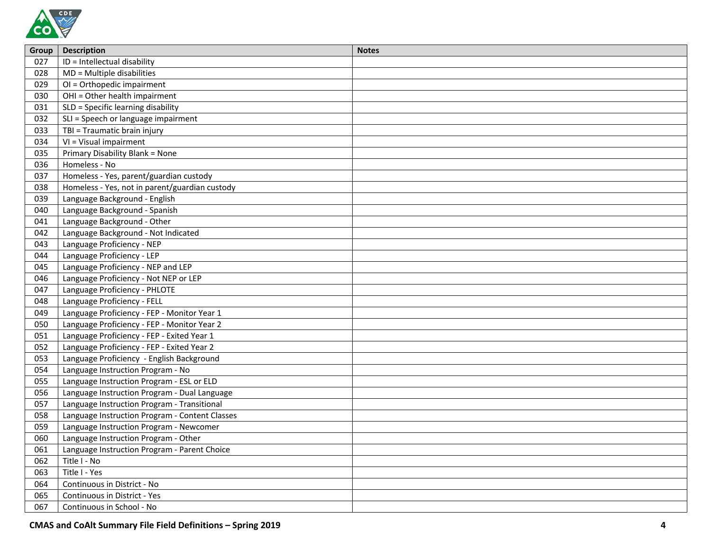

| Group | <b>Description</b>                             | <b>Notes</b> |
|-------|------------------------------------------------|--------------|
| 027   | ID = Intellectual disability                   |              |
| 028   | MD = Multiple disabilities                     |              |
| 029   | OI = Orthopedic impairment                     |              |
| 030   | OHI = Other health impairment                  |              |
| 031   | SLD = Specific learning disability             |              |
| 032   | SLI = Speech or language impairment            |              |
| 033   | TBI = Traumatic brain injury                   |              |
| 034   | VI = Visual impairment                         |              |
| 035   | Primary Disability Blank = None                |              |
| 036   | Homeless - No                                  |              |
| 037   | Homeless - Yes, parent/guardian custody        |              |
| 038   | Homeless - Yes, not in parent/guardian custody |              |
| 039   | Language Background - English                  |              |
| 040   | Language Background - Spanish                  |              |
| 041   | Language Background - Other                    |              |
| 042   | Language Background - Not Indicated            |              |
| 043   | Language Proficiency - NEP                     |              |
| 044   | Language Proficiency - LEP                     |              |
| 045   | Language Proficiency - NEP and LEP             |              |
| 046   | Language Proficiency - Not NEP or LEP          |              |
| 047   | Language Proficiency - PHLOTE                  |              |
| 048   | Language Proficiency - FELL                    |              |
| 049   | Language Proficiency - FEP - Monitor Year 1    |              |
| 050   | Language Proficiency - FEP - Monitor Year 2    |              |
| 051   | Language Proficiency - FEP - Exited Year 1     |              |
| 052   | Language Proficiency - FEP - Exited Year 2     |              |
| 053   | Language Proficiency - English Background      |              |
| 054   | Language Instruction Program - No              |              |
| 055   | Language Instruction Program - ESL or ELD      |              |
| 056   | Language Instruction Program - Dual Language   |              |
| 057   | Language Instruction Program - Transitional    |              |
| 058   | Language Instruction Program - Content Classes |              |
| 059   | Language Instruction Program - Newcomer        |              |
| 060   | Language Instruction Program - Other           |              |
| 061   | Language Instruction Program - Parent Choice   |              |
| 062   | Title I - No                                   |              |
| 063   | Title I - Yes                                  |              |
| 064   | Continuous in District - No                    |              |
| 065   | Continuous in District - Yes                   |              |
| 067   | Continuous in School - No                      |              |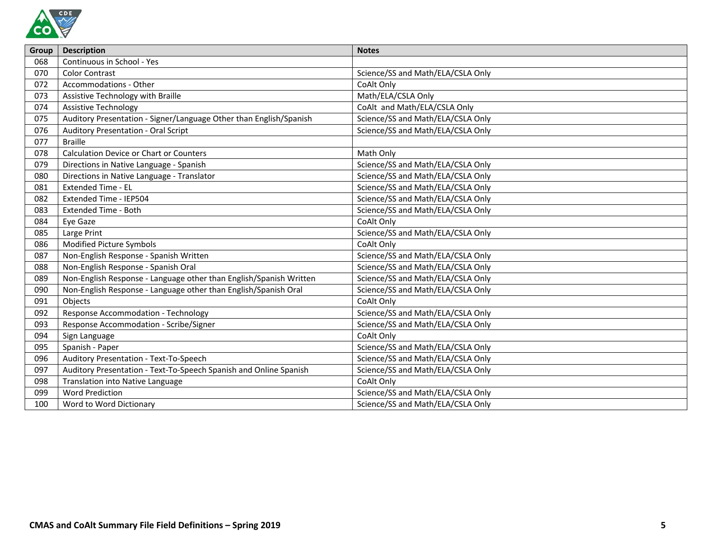

| <b>Group</b> | <b>Description</b>                                                 | <b>Notes</b>                      |
|--------------|--------------------------------------------------------------------|-----------------------------------|
| 068          | Continuous in School - Yes                                         |                                   |
| 070          | <b>Color Contrast</b>                                              | Science/SS and Math/ELA/CSLA Only |
| 072          | Accommodations - Other                                             | CoAlt Only                        |
| 073          | Assistive Technology with Braille                                  | Math/ELA/CSLA Only                |
| 074          | <b>Assistive Technology</b>                                        | CoAlt and Math/ELA/CSLA Only      |
| 075          | Auditory Presentation - Signer/Language Other than English/Spanish | Science/SS and Math/ELA/CSLA Only |
| 076          | <b>Auditory Presentation - Oral Script</b>                         | Science/SS and Math/ELA/CSLA Only |
| 077          | <b>Braille</b>                                                     |                                   |
| 078          | <b>Calculation Device or Chart or Counters</b>                     | Math Only                         |
| 079          | Directions in Native Language - Spanish                            | Science/SS and Math/ELA/CSLA Only |
| 080          | Directions in Native Language - Translator                         | Science/SS and Math/ELA/CSLA Only |
| 081          | <b>Extended Time - EL</b>                                          | Science/SS and Math/ELA/CSLA Only |
| 082          | Extended Time - IEP504                                             | Science/SS and Math/ELA/CSLA Only |
| 083          | <b>Extended Time - Both</b>                                        | Science/SS and Math/ELA/CSLA Only |
| 084          | Eye Gaze                                                           | CoAlt Only                        |
| 085          | Large Print                                                        | Science/SS and Math/ELA/CSLA Only |
| 086          | Modified Picture Symbols                                           | CoAlt Only                        |
| 087          | Non-English Response - Spanish Written                             | Science/SS and Math/ELA/CSLA Only |
| 088          | Non-English Response - Spanish Oral                                | Science/SS and Math/ELA/CSLA Only |
| 089          | Non-English Response - Language other than English/Spanish Written | Science/SS and Math/ELA/CSLA Only |
| 090          | Non-English Response - Language other than English/Spanish Oral    | Science/SS and Math/ELA/CSLA Only |
| 091          | Objects                                                            | CoAlt Only                        |
| 092          | <b>Response Accommodation - Technology</b>                         | Science/SS and Math/ELA/CSLA Only |
| 093          | Response Accommodation - Scribe/Signer                             | Science/SS and Math/ELA/CSLA Only |
| 094          | Sign Language                                                      | CoAlt Only                        |
| 095          | Spanish - Paper                                                    | Science/SS and Math/ELA/CSLA Only |
| 096          | Auditory Presentation - Text-To-Speech                             | Science/SS and Math/ELA/CSLA Only |
| 097          | Auditory Presentation - Text-To-Speech Spanish and Online Spanish  | Science/SS and Math/ELA/CSLA Only |
| 098          | Translation into Native Language                                   | CoAlt Only                        |
| 099          | <b>Word Prediction</b>                                             | Science/SS and Math/ELA/CSLA Only |
| 100          | Word to Word Dictionary                                            | Science/SS and Math/ELA/CSLA Only |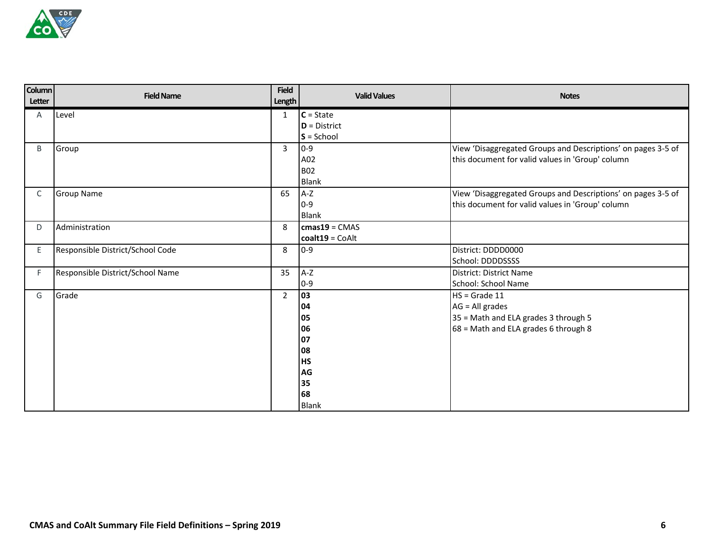

| <b>Column</b><br>Letter | <b>Field Name</b>                | <b>Field</b><br><b>Length</b> | <b>Valid Values</b> | <b>Notes</b>                                                 |
|-------------------------|----------------------------------|-------------------------------|---------------------|--------------------------------------------------------------|
| A                       | Level                            | $\mathbf{1}$                  | $C = State$         |                                                              |
|                         |                                  |                               | $D = District$      |                                                              |
|                         |                                  |                               | $S =$ School        |                                                              |
| B                       | Group                            | $\overline{3}$                | $0 - 9$             | View 'Disaggregated Groups and Descriptions' on pages 3-5 of |
|                         |                                  |                               | A02                 | this document for valid values in 'Group' column             |
|                         |                                  |                               | <b>B02</b>          |                                                              |
|                         |                                  |                               | <b>Blank</b>        |                                                              |
| C                       | <b>Group Name</b>                | 65                            | $A-Z$               | View 'Disaggregated Groups and Descriptions' on pages 3-5 of |
|                         |                                  |                               | $0 - 9$             | this document for valid values in 'Group' column             |
|                         |                                  |                               | <b>Blank</b>        |                                                              |
| D                       | Administration                   | 8                             | $cmas19 = CMAS$     |                                                              |
|                         |                                  |                               | $coalt19 = CoAlt$   |                                                              |
| E.                      | Responsible District/School Code | 8                             | $0-9$               | District: DDDD0000                                           |
|                         |                                  |                               |                     | School: DDDDSSSS                                             |
| F                       | Responsible District/School Name | 35                            | $A-Z$               | District: District Name                                      |
|                         |                                  |                               | $0 - 9$             | School: School Name                                          |
| G                       | Grade                            | $\overline{2}$                | 03                  | $HS = Grade 11$                                              |
|                         |                                  |                               | 04                  | $AG = All grades$                                            |
|                         |                                  |                               | 05                  | 35 = Math and ELA grades 3 through 5                         |
|                         |                                  |                               | 06                  | 68 = Math and ELA grades 6 through 8                         |
|                         |                                  |                               | 07                  |                                                              |
|                         |                                  |                               | 08                  |                                                              |
|                         |                                  |                               | <b>HS</b>           |                                                              |
|                         |                                  |                               | AG                  |                                                              |
|                         |                                  |                               | 35                  |                                                              |
|                         |                                  |                               | 68                  |                                                              |
|                         |                                  |                               | <b>Blank</b>        |                                                              |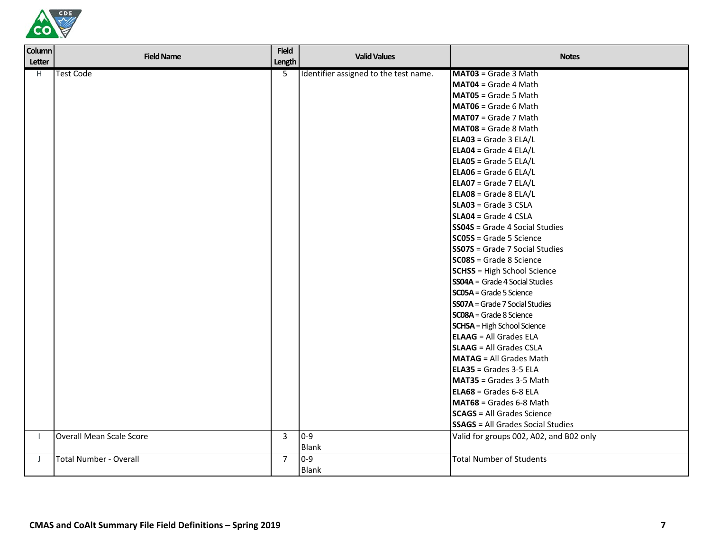

| <b>Column</b><br>Letter | <b>Field Name</b>             | <b>Field</b><br>Length | <b>Valid Values</b>                   | <b>Notes</b>                             |
|-------------------------|-------------------------------|------------------------|---------------------------------------|------------------------------------------|
| H                       | <b>Test Code</b>              | 5                      | Identifier assigned to the test name. | MAT03 = Grade 3 Math                     |
|                         |                               |                        |                                       | MAT04 = Grade 4 Math                     |
|                         |                               |                        |                                       | MAT05 = Grade 5 Math                     |
|                         |                               |                        |                                       | MAT06 = Grade 6 Math                     |
|                         |                               |                        |                                       | MAT07 = Grade 7 Math                     |
|                         |                               |                        |                                       | MAT08 = Grade 8 Math                     |
|                         |                               |                        |                                       | <b>ELA03</b> = Grade 3 ELA/L             |
|                         |                               |                        |                                       | <b>ELA04</b> = Grade 4 ELA/L             |
|                         |                               |                        |                                       | <b>ELA05</b> = Grade 5 ELA/L             |
|                         |                               |                        |                                       | <b>ELA06</b> = Grade 6 ELA/L             |
|                         |                               |                        |                                       | <b>ELA07</b> = Grade 7 ELA/L             |
|                         |                               |                        |                                       | <b>ELA08</b> = Grade 8 ELA/L             |
|                         |                               |                        |                                       | SLA03 = Grade 3 CSLA                     |
|                         |                               |                        |                                       | SLA04 = Grade 4 CSLA                     |
|                         |                               |                        |                                       | <b>SS04S</b> = Grade 4 Social Studies    |
|                         |                               |                        |                                       | $SC05S = Grade 5 Science$                |
|                         |                               |                        |                                       | <b>SS07S</b> = Grade 7 Social Studies    |
|                         |                               |                        |                                       | <b>SC08S</b> = Grade 8 Science           |
|                         |                               |                        |                                       | <b>SCHSS</b> = High School Science       |
|                         |                               |                        |                                       | $SSO4A = Grade 4 Social Studies$         |
|                         |                               |                        |                                       | <b>SC05A</b> = Grade 5 Science           |
|                         |                               |                        |                                       | <b>SS07A</b> = Grade 7 Social Studies    |
|                         |                               |                        |                                       | <b>SC08A</b> = Grade 8 Science           |
|                         |                               |                        |                                       | <b>SCHSA</b> = High School Science       |
|                         |                               |                        |                                       | <b>ELAAG</b> = All Grades ELA            |
|                         |                               |                        |                                       | <b>SLAAG</b> = All Grades CSLA           |
|                         |                               |                        |                                       | <b>MATAG</b> = All Grades Math           |
|                         |                               |                        |                                       | ELA35 = Grades 3-5 ELA                   |
|                         |                               |                        |                                       | MAT35 = Grades 3-5 Math                  |
|                         |                               |                        |                                       | <b>ELA68</b> = Grades 6-8 ELA            |
|                         |                               |                        |                                       | MAT68 = Grades 6-8 Math                  |
|                         |                               |                        |                                       | <b>SCAGS</b> = All Grades Science        |
|                         |                               |                        |                                       | <b>SSAGS</b> = All Grades Social Studies |
| $\mathbf{I}$            | Overall Mean Scale Score      | $\overline{3}$         | $0-9$                                 | Valid for groups 002, A02, and B02 only  |
|                         |                               |                        | <b>Blank</b>                          |                                          |
| J                       | <b>Total Number - Overall</b> | $\overline{7}$         | $0-9$                                 | <b>Total Number of Students</b>          |
|                         |                               |                        | <b>Blank</b>                          |                                          |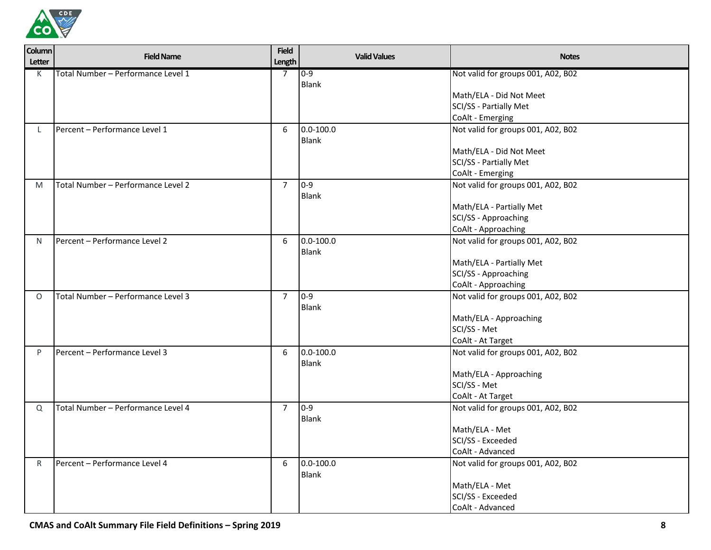

| <b>Column</b><br>Letter | <b>Field Name</b>                  | <b>Field</b><br>Length | <b>Valid Values</b>    | <b>Notes</b>                                                                                                                         |
|-------------------------|------------------------------------|------------------------|------------------------|--------------------------------------------------------------------------------------------------------------------------------------|
| K                       | Total Number - Performance Level 1 | $\overline{7}$         | $0 - 9$                | Not valid for groups 001, A02, B02                                                                                                   |
|                         |                                    |                        | Blank                  |                                                                                                                                      |
|                         |                                    |                        |                        | Math/ELA - Did Not Meet                                                                                                              |
|                         |                                    |                        |                        | SCI/SS - Partially Met                                                                                                               |
|                         |                                    |                        |                        | CoAlt - Emerging                                                                                                                     |
| L.                      | Percent - Performance Level 1      | 6                      | $0.0 - 100.0$<br>Blank | Not valid for groups 001, A02, B02                                                                                                   |
|                         |                                    |                        |                        | Math/ELA - Did Not Meet                                                                                                              |
|                         |                                    |                        |                        | SCI/SS - Partially Met                                                                                                               |
|                         |                                    |                        |                        | CoAlt - Emerging                                                                                                                     |
| M                       | Total Number - Performance Level 2 | $\overline{7}$         | $0 - 9$                | Not valid for groups 001, A02, B02                                                                                                   |
|                         |                                    |                        | <b>Blank</b>           |                                                                                                                                      |
|                         |                                    |                        |                        | Math/ELA - Partially Met                                                                                                             |
|                         |                                    |                        |                        | SCI/SS - Approaching                                                                                                                 |
|                         |                                    |                        |                        | CoAlt - Approaching                                                                                                                  |
| N.                      | Percent - Performance Level 2      | 6                      | $0.0 - 100.0$          | Not valid for groups 001, A02, B02                                                                                                   |
|                         |                                    |                        | <b>Blank</b>           |                                                                                                                                      |
|                         |                                    |                        |                        | Math/ELA - Partially Met                                                                                                             |
|                         |                                    |                        |                        | SCI/SS - Approaching                                                                                                                 |
|                         |                                    |                        |                        | CoAlt - Approaching                                                                                                                  |
| $\circ$                 | Total Number - Performance Level 3 | $\overline{7}$         | $0 - 9$                | Not valid for groups 001, A02, B02                                                                                                   |
|                         |                                    |                        | Blank                  |                                                                                                                                      |
|                         |                                    |                        |                        | Math/ELA - Approaching                                                                                                               |
|                         |                                    |                        |                        | SCI/SS - Met                                                                                                                         |
|                         |                                    |                        |                        | CoAlt - At Target                                                                                                                    |
| P                       | Percent - Performance Level 3      | 6                      | $0.0 - 100.0$          | Not valid for groups 001, A02, B02                                                                                                   |
|                         |                                    |                        | Blank                  |                                                                                                                                      |
|                         |                                    |                        |                        | Math/ELA - Approaching                                                                                                               |
|                         |                                    |                        |                        | SCI/SS - Met                                                                                                                         |
|                         |                                    |                        |                        | CoAlt - At Target                                                                                                                    |
| Q                       | Total Number - Performance Level 4 | $\overline{7}$         | $0 - 9$                | Not valid for groups 001, A02, B02                                                                                                   |
|                         |                                    |                        | Blank                  |                                                                                                                                      |
|                         |                                    |                        |                        |                                                                                                                                      |
|                         |                                    |                        |                        |                                                                                                                                      |
|                         |                                    |                        |                        |                                                                                                                                      |
|                         |                                    |                        |                        |                                                                                                                                      |
|                         |                                    |                        |                        |                                                                                                                                      |
|                         |                                    |                        |                        |                                                                                                                                      |
|                         |                                    |                        |                        | CoAlt - Advanced                                                                                                                     |
| $\mathsf{R}$            | Percent - Performance Level 4      | 6                      | $0.0 - 100.0$<br>Blank | Math/ELA - Met<br>SCI/SS - Exceeded<br>CoAlt - Advanced<br>Not valid for groups 001, A02, B02<br>Math/ELA - Met<br>SCI/SS - Exceeded |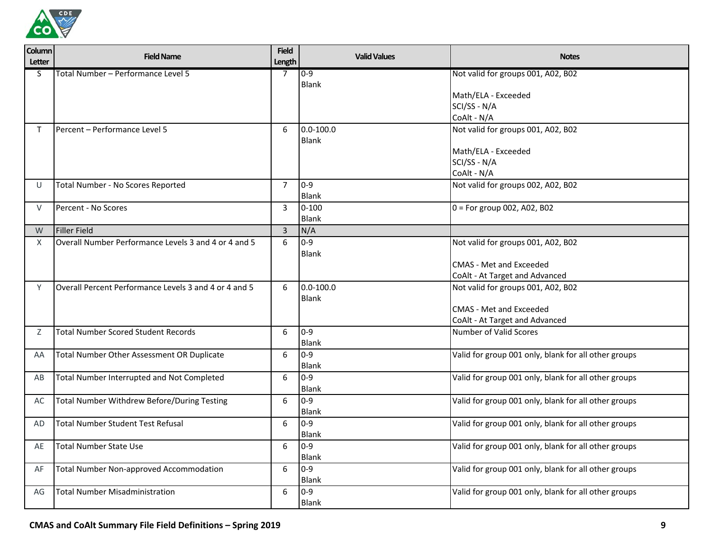

| Column<br><b>Letter</b> | <b>Field Name</b>                                     | <b>Field</b><br>Length | <b>Valid Values</b>     | <b>Notes</b>                                         |
|-------------------------|-------------------------------------------------------|------------------------|-------------------------|------------------------------------------------------|
| S                       | Total Number - Performance Level 5                    | 7                      | $0 - 9$                 | Not valid for groups 001, A02, B02                   |
|                         |                                                       |                        | Blank                   |                                                      |
|                         |                                                       |                        |                         | Math/ELA - Exceeded                                  |
|                         |                                                       |                        |                         | SCI/SS - N/A                                         |
|                         | Percent - Performance Level 5                         |                        | $0.0 - 100.0$           | CoAlt - N/A                                          |
| T.                      |                                                       | 6                      | <b>Blank</b>            | Not valid for groups 001, A02, B02                   |
|                         |                                                       |                        |                         | Math/ELA - Exceeded                                  |
|                         |                                                       |                        |                         | SCI/SS - N/A                                         |
|                         |                                                       |                        |                         | CoAlt - N/A                                          |
| U                       | Total Number - No Scores Reported                     | $\overline{7}$         | $0 - 9$                 | Not valid for groups 002, A02, B02                   |
|                         |                                                       |                        | <b>Blank</b>            |                                                      |
| V                       | Percent - No Scores                                   | 3                      | $0 - 100$               | $0 =$ For group 002, A02, B02                        |
|                         |                                                       |                        | <b>Blank</b>            |                                                      |
| W                       | Filler Field                                          | 3                      | N/A                     |                                                      |
| X                       | Overall Number Performance Levels 3 and 4 or 4 and 5  | 6                      | $0 - 9$                 | Not valid for groups 001, A02, B02                   |
|                         |                                                       |                        | <b>Blank</b>            |                                                      |
|                         |                                                       |                        |                         | <b>CMAS - Met and Exceeded</b>                       |
|                         |                                                       |                        |                         | CoAlt - At Target and Advanced                       |
| Y                       | Overall Percent Performance Levels 3 and 4 or 4 and 5 | 6                      | $0.0 - 100.0$           | Not valid for groups 001, A02, B02                   |
|                         |                                                       |                        | Blank                   |                                                      |
|                         |                                                       |                        |                         | <b>CMAS - Met and Exceeded</b>                       |
|                         |                                                       |                        |                         | CoAlt - At Target and Advanced                       |
| Ζ                       | <b>Total Number Scored Student Records</b>            | 6                      | $0 - 9$                 | Number of Valid Scores                               |
|                         |                                                       |                        | <b>Blank</b>            |                                                      |
| AA                      | Total Number Other Assessment OR Duplicate            | 6                      | $0 - 9$                 | Valid for group 001 only, blank for all other groups |
|                         |                                                       |                        | <b>Blank</b><br>$0 - 9$ |                                                      |
| AB                      | Total Number Interrupted and Not Completed            | 6                      |                         | Valid for group 001 only, blank for all other groups |
| AC                      | <b>Total Number Withdrew Before/During Testing</b>    | 6                      | Blank<br>$0 - 9$        | Valid for group 001 only, blank for all other groups |
|                         |                                                       |                        | Blank                   |                                                      |
| AD                      | <b>Total Number Student Test Refusal</b>              | 6                      | $0 - 9$                 | Valid for group 001 only, blank for all other groups |
|                         |                                                       |                        | <b>Blank</b>            |                                                      |
| AE                      | <b>Total Number State Use</b>                         | 6                      | $0 - 9$                 | Valid for group 001 only, blank for all other groups |
|                         |                                                       |                        | <b>Blank</b>            |                                                      |
| AF                      | <b>Total Number Non-approved Accommodation</b>        | 6                      | $0 - 9$                 | Valid for group 001 only, blank for all other groups |
|                         |                                                       |                        | <b>Blank</b>            |                                                      |
| AG                      | <b>Total Number Misadministration</b>                 | 6                      | $0 - 9$                 | Valid for group 001 only, blank for all other groups |
|                         |                                                       |                        | <b>Blank</b>            |                                                      |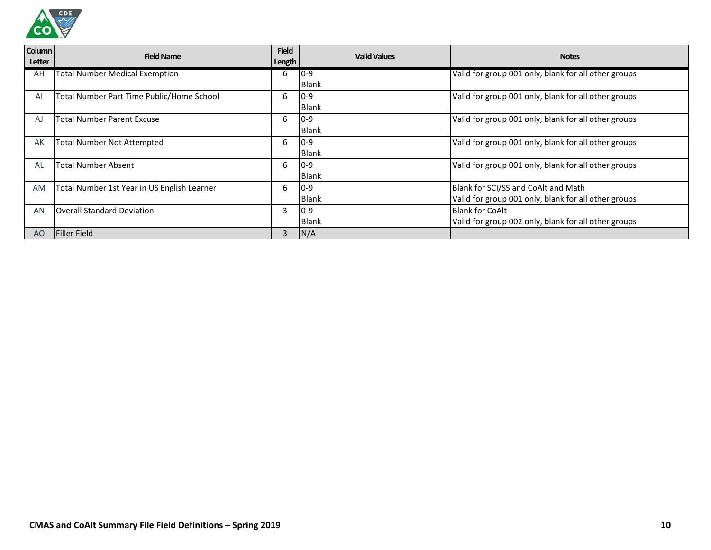

| <b>Column</b><br>Letter | <b>Field Name</b>                           | <b>Field</b><br>Length | <b>Valid Values</b> | <b>Notes</b>                                         |
|-------------------------|---------------------------------------------|------------------------|---------------------|------------------------------------------------------|
| AH                      | <b>Total Number Medical Exemption</b>       | b                      | $0 - 9$             | Valid for group 001 only, blank for all other groups |
|                         |                                             |                        | Blank               |                                                      |
| Al                      | Total Number Part Time Public/Home School   | 6                      | $10-9$              | Valid for group 001 only, blank for all other groups |
|                         |                                             |                        | <b>Blank</b>        |                                                      |
| AJ                      | <b>Total Number Parent Excuse</b>           | 6                      | $10-9$              | Valid for group 001 only, blank for all other groups |
|                         |                                             |                        | Blank               |                                                      |
| AK                      | <b>Total Number Not Attempted</b>           | 6                      | $10-9$              | Valid for group 001 only, blank for all other groups |
|                         |                                             |                        | <b>Blank</b>        |                                                      |
| AL                      | <b>Total Number Absent</b>                  | 6                      | $0 - 9$             | Valid for group 001 only, blank for all other groups |
|                         |                                             |                        | <b>Blank</b>        |                                                      |
| <b>AM</b>               | Total Number 1st Year in US English Learner | 6                      | $10-9$              | Blank for SCI/SS and CoAlt and Math                  |
|                         |                                             |                        | <b>Blank</b>        | Valid for group 001 only, blank for all other groups |
| AN                      | <b>Overall Standard Deviation</b>           | 3                      | $10-9$              | <b>Blank for CoAlt</b>                               |
|                         |                                             |                        | <b>Blank</b>        | Valid for group 002 only, blank for all other groups |
| A <sub>O</sub>          | <b>Filler Field</b>                         | 3                      | N/A                 |                                                      |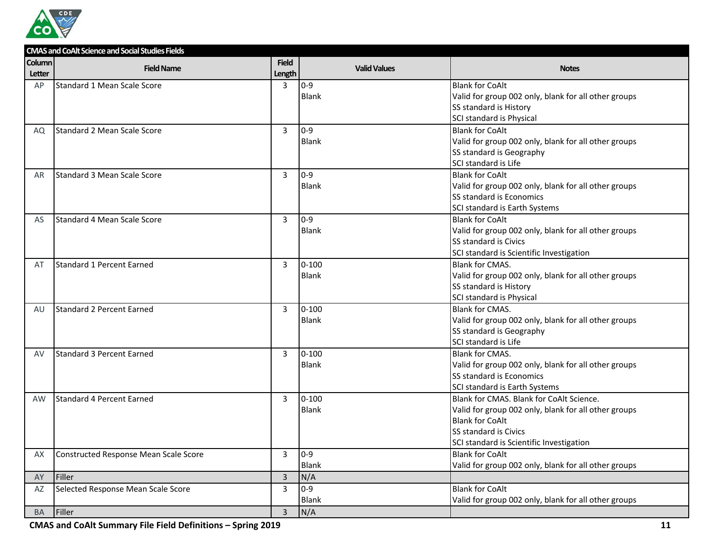

|               | <b>CMAS and CoAlt Science and Social Studies Fields</b> |                |                     |                                                      |
|---------------|---------------------------------------------------------|----------------|---------------------|------------------------------------------------------|
| <b>Column</b> | <b>Field Name</b>                                       | <b>Field</b>   | <b>Valid Values</b> | <b>Notes</b>                                         |
| Letter        |                                                         | Length         |                     |                                                      |
| AP            | <b>Standard 1 Mean Scale Score</b>                      | 3              | $0 - 9$             | <b>Blank for CoAlt</b>                               |
|               |                                                         |                | Blank               | Valid for group 002 only, blank for all other groups |
|               |                                                         |                |                     | SS standard is History                               |
|               |                                                         |                |                     | SCI standard is Physical                             |
| AQ            | <b>Standard 2 Mean Scale Score</b>                      | 3              | $0 - 9$             | <b>Blank for CoAlt</b>                               |
|               |                                                         |                | <b>Blank</b>        | Valid for group 002 only, blank for all other groups |
|               |                                                         |                |                     | SS standard is Geography                             |
|               |                                                         |                |                     | SCI standard is Life                                 |
| AR            | <b>Standard 3 Mean Scale Score</b>                      | 3              | $0 - 9$             | <b>Blank for CoAlt</b>                               |
|               |                                                         |                | <b>Blank</b>        | Valid for group 002 only, blank for all other groups |
|               |                                                         |                |                     | SS standard is Economics                             |
|               |                                                         |                |                     | SCI standard is Earth Systems                        |
| AS            | <b>Standard 4 Mean Scale Score</b>                      | 3              | $0-9$               | <b>Blank for CoAlt</b>                               |
|               |                                                         |                | <b>Blank</b>        | Valid for group 002 only, blank for all other groups |
|               |                                                         |                |                     | <b>SS standard is Civics</b>                         |
|               |                                                         |                |                     | SCI standard is Scientific Investigation             |
| AT            | Standard 1 Percent Earned                               | 3              | $0 - 100$           | <b>Blank for CMAS.</b>                               |
|               |                                                         |                | Blank               | Valid for group 002 only, blank for all other groups |
|               |                                                         |                |                     | SS standard is History                               |
|               |                                                         |                |                     | SCI standard is Physical                             |
| AU            | <b>Standard 2 Percent Earned</b>                        | 3              | $0 - 100$           | <b>Blank for CMAS.</b>                               |
|               |                                                         |                | <b>Blank</b>        | Valid for group 002 only, blank for all other groups |
|               |                                                         |                |                     | SS standard is Geography                             |
|               |                                                         |                |                     | SCI standard is Life                                 |
| AV            | <b>Standard 3 Percent Earned</b>                        | 3              | $0 - 100$           | <b>Blank for CMAS.</b>                               |
|               |                                                         |                | <b>Blank</b>        | Valid for group 002 only, blank for all other groups |
|               |                                                         |                |                     | SS standard is Economics                             |
|               |                                                         |                |                     | SCI standard is Earth Systems                        |
| AW            | Standard 4 Percent Earned                               | 3              | $0 - 100$           | Blank for CMAS. Blank for CoAlt Science.             |
|               |                                                         |                | Blank               | Valid for group 002 only, blank for all other groups |
|               |                                                         |                |                     | <b>Blank for CoAlt</b>                               |
|               |                                                         |                |                     | SS standard is Civics                                |
|               |                                                         |                |                     | SCI standard is Scientific Investigation             |
| AX            | Constructed Response Mean Scale Score                   | 3              | $0 - 9$             | <b>Blank for CoAlt</b>                               |
|               |                                                         |                | <b>Blank</b>        | Valid for group 002 only, blank for all other groups |
| AY            | Filler                                                  | $\overline{3}$ | N/A                 |                                                      |
| AZ            | Selected Response Mean Scale Score                      | 3              | $0-9$               | <b>Blank for CoAlt</b>                               |
|               |                                                         |                | Blank               | Valid for group 002 only, blank for all other groups |
| BA            | Filler                                                  | $\mathsf 3$    | N/A                 |                                                      |

**CMAS and CoAlt Summary File Field Definitions – Spring 2019 11**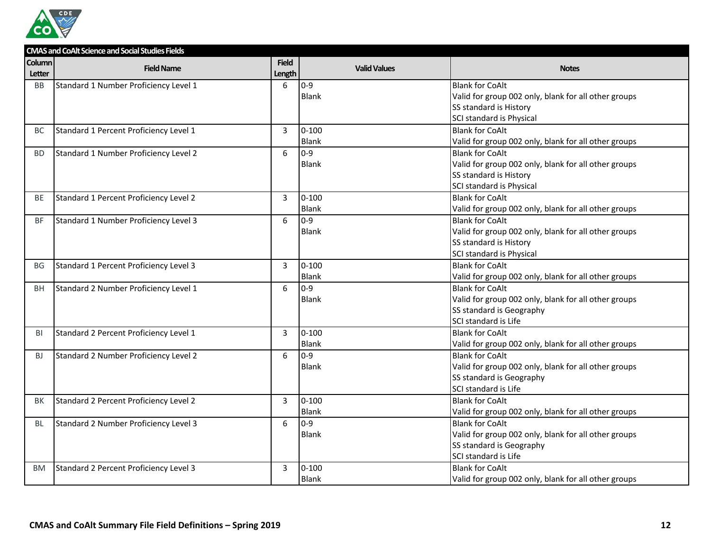

|                         | <b>CMAS and CoAlt Science and Social Studies Fields</b> |                        |                     |                                                      |
|-------------------------|---------------------------------------------------------|------------------------|---------------------|------------------------------------------------------|
| <b>Column</b><br>Letter | <b>Field Name</b>                                       | <b>Field</b><br>Length | <b>Valid Values</b> | <b>Notes</b>                                         |
| <b>BB</b>               | Standard 1 Number Proficiency Level 1                   | 6                      | $0 - 9$             | <b>Blank for CoAlt</b>                               |
|                         |                                                         |                        | Blank               | Valid for group 002 only, blank for all other groups |
|                         |                                                         |                        |                     | SS standard is History                               |
|                         |                                                         |                        |                     | SCI standard is Physical                             |
| BC.                     | Standard 1 Percent Proficiency Level 1                  | 3                      | $0 - 100$           | <b>Blank for CoAlt</b>                               |
|                         |                                                         |                        | <b>Blank</b>        | Valid for group 002 only, blank for all other groups |
| <b>BD</b>               | Standard 1 Number Proficiency Level 2                   | 6                      | $0 - 9$             | <b>Blank for CoAlt</b>                               |
|                         |                                                         |                        | <b>Blank</b>        | Valid for group 002 only, blank for all other groups |
|                         |                                                         |                        |                     | SS standard is History                               |
|                         |                                                         |                        |                     | SCI standard is Physical                             |
| BE                      | Standard 1 Percent Proficiency Level 2                  | 3                      | $0 - 100$           | <b>Blank for CoAlt</b>                               |
|                         |                                                         |                        | Blank               | Valid for group 002 only, blank for all other groups |
| ΒF                      | Standard 1 Number Proficiency Level 3                   | 6                      | $0 - 9$             | <b>Blank for CoAlt</b>                               |
|                         |                                                         |                        | <b>Blank</b>        | Valid for group 002 only, blank for all other groups |
|                         |                                                         |                        |                     | SS standard is History                               |
|                         |                                                         |                        |                     | SCI standard is Physical                             |
| BG                      | Standard 1 Percent Proficiency Level 3                  | $\overline{3}$         | $0 - 100$           | <b>Blank for CoAlt</b>                               |
|                         |                                                         |                        | <b>Blank</b>        | Valid for group 002 only, blank for all other groups |
| <b>BH</b>               | Standard 2 Number Proficiency Level 1                   | 6                      | $0 - 9$             | <b>Blank for CoAlt</b>                               |
|                         |                                                         |                        | Blank               | Valid for group 002 only, blank for all other groups |
|                         |                                                         |                        |                     | SS standard is Geography                             |
|                         |                                                         |                        |                     | SCI standard is Life                                 |
| BI                      | Standard 2 Percent Proficiency Level 1                  | $\overline{3}$         | $0 - 100$           | <b>Blank for CoAlt</b>                               |
|                         |                                                         |                        | <b>Blank</b>        | Valid for group 002 only, blank for all other groups |
| <b>BJ</b>               | Standard 2 Number Proficiency Level 2                   | 6                      | $0 - 9$             | <b>Blank for CoAlt</b>                               |
|                         |                                                         |                        | <b>Blank</b>        | Valid for group 002 only, blank for all other groups |
|                         |                                                         |                        |                     | SS standard is Geography                             |
|                         |                                                         |                        |                     | SCI standard is Life                                 |
| ВK                      | Standard 2 Percent Proficiency Level 2                  | 3                      | $0 - 100$           | <b>Blank for CoAlt</b>                               |
|                         |                                                         |                        | Blank               | Valid for group 002 only, blank for all other groups |
| BL                      | Standard 2 Number Proficiency Level 3                   | 6                      | $0 - 9$             | <b>Blank for CoAlt</b>                               |
|                         |                                                         |                        | <b>Blank</b>        | Valid for group 002 only, blank for all other groups |
|                         |                                                         |                        |                     | SS standard is Geography                             |
|                         |                                                         |                        |                     | SCI standard is Life                                 |
| <b>BM</b>               | Standard 2 Percent Proficiency Level 3                  | 3                      | $0 - 100$           | <b>Blank for CoAlt</b>                               |
|                         |                                                         |                        | Blank               | Valid for group 002 only, blank for all other groups |
|                         |                                                         |                        |                     |                                                      |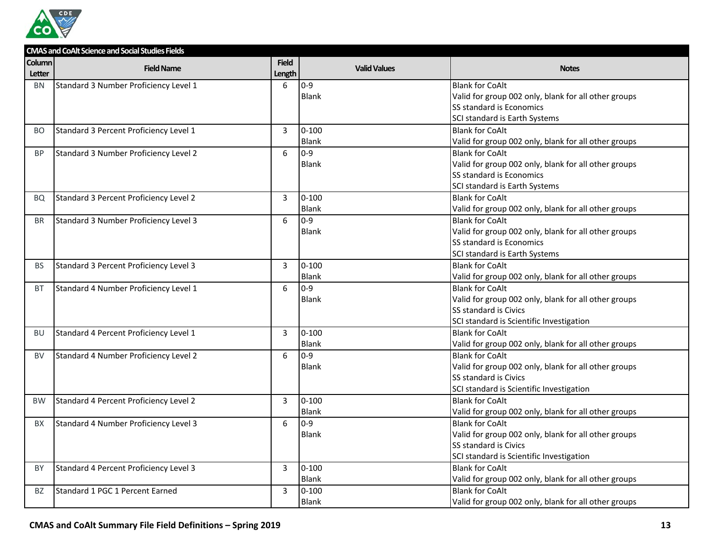

|           | <b>CMAS and CoAlt Science and Social Studies Fields</b> |                 |                     |                                                      |
|-----------|---------------------------------------------------------|-----------------|---------------------|------------------------------------------------------|
| Column    | <b>Field Name</b>                                       | <b>Field</b>    | <b>Valid Values</b> | <b>Notes</b>                                         |
| Letter    |                                                         | Length          |                     |                                                      |
| <b>BN</b> | Standard 3 Number Proficiency Level 1                   | 6               | $0 - 9$             | <b>Blank for CoAlt</b>                               |
|           |                                                         |                 | <b>Blank</b>        | Valid for group 002 only, blank for all other groups |
|           |                                                         |                 |                     | SS standard is Economics                             |
|           |                                                         |                 |                     | SCI standard is Earth Systems                        |
| BO        | Standard 3 Percent Proficiency Level 1                  | $\overline{3}$  | $0 - 100$           | <b>Blank for CoAlt</b>                               |
|           |                                                         |                 | Blank               | Valid for group 002 only, blank for all other groups |
| <b>BP</b> | Standard 3 Number Proficiency Level 2                   | 6               | $0 - 9$             | <b>Blank for CoAlt</b>                               |
|           |                                                         |                 | <b>Blank</b>        | Valid for group 002 only, blank for all other groups |
|           |                                                         |                 |                     | SS standard is Economics                             |
|           |                                                         |                 |                     | SCI standard is Earth Systems                        |
| BQ        | Standard 3 Percent Proficiency Level 2                  | 3               | $0 - 100$           | <b>Blank for CoAlt</b>                               |
|           |                                                         |                 | Blank               | Valid for group 002 only, blank for all other groups |
| <b>BR</b> | Standard 3 Number Proficiency Level 3                   | $6\phantom{1}6$ | $0 - 9$             | <b>Blank for CoAlt</b>                               |
|           |                                                         |                 | <b>Blank</b>        | Valid for group 002 only, blank for all other groups |
|           |                                                         |                 |                     | SS standard is Economics                             |
|           |                                                         |                 |                     | SCI standard is Earth Systems                        |
| BS        | Standard 3 Percent Proficiency Level 3                  | 3               | $0 - 100$           | <b>Blank for CoAlt</b>                               |
|           |                                                         |                 | <b>Blank</b>        | Valid for group 002 only, blank for all other groups |
| <b>BT</b> | Standard 4 Number Proficiency Level 1                   | 6               | $0 - 9$             | <b>Blank for CoAlt</b>                               |
|           |                                                         |                 | <b>Blank</b>        | Valid for group 002 only, blank for all other groups |
|           |                                                         |                 |                     | SS standard is Civics                                |
|           |                                                         |                 |                     | SCI standard is Scientific Investigation             |
| BU        | Standard 4 Percent Proficiency Level 1                  | 3               | $0 - 100$           | <b>Blank for CoAlt</b>                               |
|           |                                                         |                 | <b>Blank</b>        | Valid for group 002 only, blank for all other groups |
| <b>BV</b> | Standard 4 Number Proficiency Level 2                   | 6               | $0 - 9$             | <b>Blank for CoAlt</b>                               |
|           |                                                         |                 | <b>Blank</b>        | Valid for group 002 only, blank for all other groups |
|           |                                                         |                 |                     | SS standard is Civics                                |
|           |                                                         |                 |                     | SCI standard is Scientific Investigation             |
| <b>BW</b> | Standard 4 Percent Proficiency Level 2                  | 3               | $0 - 100$           | <b>Blank for CoAlt</b>                               |
|           |                                                         |                 | Blank               | Valid for group 002 only, blank for all other groups |
| <b>BX</b> | Standard 4 Number Proficiency Level 3                   | 6               | $0 - 9$             | <b>Blank for CoAlt</b>                               |
|           |                                                         |                 | <b>Blank</b>        | Valid for group 002 only, blank for all other groups |
|           |                                                         |                 |                     | SS standard is Civics                                |
|           |                                                         |                 |                     | SCI standard is Scientific Investigation             |
| BY        | Standard 4 Percent Proficiency Level 3                  | $\overline{3}$  | $0 - 100$           | <b>Blank for CoAlt</b>                               |
|           |                                                         |                 | Blank               | Valid for group 002 only, blank for all other groups |
| BZ        | Standard 1 PGC 1 Percent Earned                         | 3               | $0 - 100$           | <b>Blank for CoAlt</b>                               |
|           |                                                         |                 | <b>Blank</b>        | Valid for group 002 only, blank for all other groups |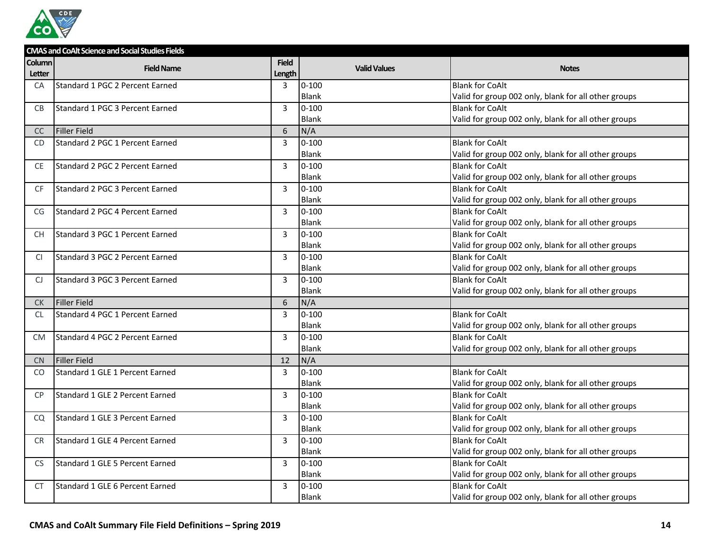

|               | <b>CMAS and CoAlt Science and Social Studies Fields</b> |                |                     |                                                      |
|---------------|---------------------------------------------------------|----------------|---------------------|------------------------------------------------------|
| <b>Column</b> | <b>Field Name</b>                                       | <b>Field</b>   | <b>Valid Values</b> | <b>Notes</b>                                         |
| Letter        |                                                         | Length         |                     |                                                      |
| <b>CA</b>     | Standard 1 PGC 2 Percent Earned                         | $\overline{3}$ | $0 - 100$           | <b>Blank for CoAlt</b>                               |
|               |                                                         |                | <b>Blank</b>        | Valid for group 002 only, blank for all other groups |
| <b>CB</b>     | Standard 1 PGC 3 Percent Earned                         | 3              | $0 - 100$           | <b>Blank for CoAlt</b>                               |
|               |                                                         |                | Blank               | Valid for group 002 only, blank for all other groups |
| CC            | <b>Filler Field</b>                                     | 6              | N/A                 |                                                      |
| CD.           | Standard 2 PGC 1 Percent Earned                         | 3              | $0 - 100$           | <b>Blank for CoAlt</b>                               |
|               |                                                         |                | <b>Blank</b>        | Valid for group 002 only, blank for all other groups |
| CE.           | Standard 2 PGC 2 Percent Earned                         | 3              | $0 - 100$           | <b>Blank for CoAlt</b>                               |
|               |                                                         |                | <b>Blank</b>        | Valid for group 002 only, blank for all other groups |
| <b>CF</b>     | Standard 2 PGC 3 Percent Earned                         | 3              | $0 - 100$           | <b>Blank for CoAlt</b>                               |
|               |                                                         |                | <b>Blank</b>        | Valid for group 002 only, blank for all other groups |
| CG            | Standard 2 PGC 4 Percent Earned                         | 3              | $0 - 100$           | <b>Blank for CoAlt</b>                               |
|               |                                                         |                | <b>Blank</b>        | Valid for group 002 only, blank for all other groups |
| CH.           | Standard 3 PGC 1 Percent Earned                         | 3              | $0 - 100$           | <b>Blank for CoAlt</b>                               |
|               |                                                         |                | Blank               | Valid for group 002 only, blank for all other groups |
| CI.           | Standard 3 PGC 2 Percent Earned                         | 3              | $0 - 100$           | <b>Blank for CoAlt</b>                               |
|               |                                                         |                | Blank               | Valid for group 002 only, blank for all other groups |
| CJ            | Standard 3 PGC 3 Percent Earned                         | 3              | $0 - 100$           | <b>Blank for CoAlt</b>                               |
|               |                                                         |                | Blank               | Valid for group 002 only, blank for all other groups |
| <b>CK</b>     | Filler Field                                            | 6              | N/A                 |                                                      |
| <b>CL</b>     | Standard 4 PGC 1 Percent Earned                         | 3              | $0 - 100$           | <b>Blank for CoAlt</b>                               |
|               |                                                         |                | Blank               | Valid for group 002 only, blank for all other groups |
| <b>CM</b>     | Standard 4 PGC 2 Percent Earned                         | $\overline{3}$ | $0 - 100$           | <b>Blank for CoAlt</b>                               |
|               |                                                         |                | <b>Blank</b>        | Valid for group 002 only, blank for all other groups |
| <b>CN</b>     | <b>Filler Field</b>                                     | 12             | N/A                 |                                                      |
| CO            | Standard 1 GLE 1 Percent Earned                         | 3              | $0 - 100$           | <b>Blank for CoAlt</b>                               |
|               |                                                         |                | Blank               | Valid for group 002 only, blank for all other groups |
| <b>CP</b>     | Standard 1 GLE 2 Percent Earned                         | 3              | $0 - 100$           | <b>Blank for CoAlt</b>                               |
|               |                                                         |                | Blank               | Valid for group 002 only, blank for all other groups |
| CQ            | Standard 1 GLE 3 Percent Earned                         | 3              | $0 - 100$           | <b>Blank for CoAlt</b>                               |
|               |                                                         |                | <b>Blank</b>        | Valid for group 002 only, blank for all other groups |
| <b>CR</b>     | Standard 1 GLE 4 Percent Earned                         | 3              | $0 - 100$           | <b>Blank for CoAlt</b>                               |
|               |                                                         |                | Blank               | Valid for group 002 only, blank for all other groups |
| <b>CS</b>     | Standard 1 GLE 5 Percent Earned                         | 3              | $0 - 100$           | <b>Blank for CoAlt</b>                               |
|               |                                                         |                | <b>Blank</b>        | Valid for group 002 only, blank for all other groups |
| <b>CT</b>     | Standard 1 GLE 6 Percent Earned                         | 3              | $0 - 100$           | <b>Blank for CoAlt</b>                               |
|               |                                                         |                | Blank               | Valid for group 002 only, blank for all other groups |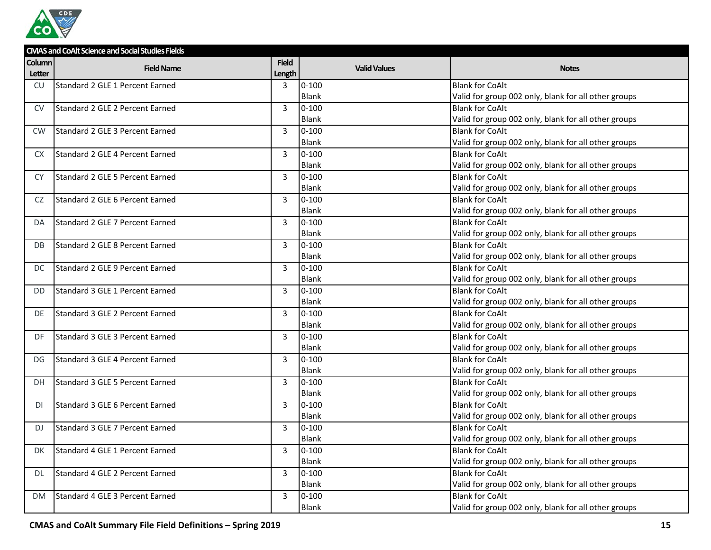

|               | <b>CMAS and CoAlt Science and Social Studies Fields</b> |              |                     |                                                      |  |  |
|---------------|---------------------------------------------------------|--------------|---------------------|------------------------------------------------------|--|--|
| <b>Column</b> | <b>Field Name</b>                                       | <b>Field</b> | <b>Valid Values</b> | <b>Notes</b>                                         |  |  |
| Letter        |                                                         | Length       |                     |                                                      |  |  |
| CU.           | Standard 2 GLE 1 Percent Earned                         | 3            | $0 - 100$           | <b>Blank for CoAlt</b>                               |  |  |
|               |                                                         |              | <b>Blank</b>        | Valid for group 002 only, blank for all other groups |  |  |
| <b>CV</b>     | Standard 2 GLE 2 Percent Earned                         | 3            | $0 - 100$           | <b>Blank for CoAlt</b>                               |  |  |
|               |                                                         |              | <b>Blank</b>        | Valid for group 002 only, blank for all other groups |  |  |
| CW            | Standard 2 GLE 3 Percent Earned                         | 3            | $0 - 100$           | <b>Blank for CoAlt</b>                               |  |  |
|               |                                                         |              | <b>Blank</b>        | Valid for group 002 only, blank for all other groups |  |  |
| <b>CX</b>     | Standard 2 GLE 4 Percent Earned                         | 3            | $0 - 100$           | <b>Blank for CoAlt</b>                               |  |  |
|               |                                                         |              | <b>Blank</b>        | Valid for group 002 only, blank for all other groups |  |  |
| <b>CY</b>     | Standard 2 GLE 5 Percent Earned                         | 3            | $0 - 100$           | <b>Blank for CoAlt</b>                               |  |  |
|               |                                                         |              | <b>Blank</b>        | Valid for group 002 only, blank for all other groups |  |  |
| CZ            | Standard 2 GLE 6 Percent Earned                         | 3            | $0 - 100$           | <b>Blank for CoAlt</b>                               |  |  |
|               |                                                         |              | <b>Blank</b>        | Valid for group 002 only, blank for all other groups |  |  |
| DA            | Standard 2 GLE 7 Percent Earned                         | 3            | $0 - 100$           | <b>Blank for CoAlt</b>                               |  |  |
|               |                                                         |              | Blank               | Valid for group 002 only, blank for all other groups |  |  |
| DB            | Standard 2 GLE 8 Percent Earned                         | 3            | $0 - 100$           | <b>Blank for CoAlt</b>                               |  |  |
|               |                                                         |              | Blank               | Valid for group 002 only, blank for all other groups |  |  |
| DC            | Standard 2 GLE 9 Percent Earned                         | 3            | $0 - 100$           | <b>Blank for CoAlt</b>                               |  |  |
|               |                                                         |              | <b>Blank</b>        | Valid for group 002 only, blank for all other groups |  |  |
| DD            | Standard 3 GLE 1 Percent Earned                         | 3            | $0 - 100$           | <b>Blank for CoAlt</b>                               |  |  |
|               |                                                         |              | <b>Blank</b>        | Valid for group 002 only, blank for all other groups |  |  |
| DE            | Standard 3 GLE 2 Percent Earned                         | 3            | $0 - 100$           | <b>Blank for CoAlt</b>                               |  |  |
|               |                                                         |              | Blank               | Valid for group 002 only, blank for all other groups |  |  |
| DF            | Standard 3 GLE 3 Percent Earned                         | 3            | $0 - 100$           | <b>Blank for CoAlt</b>                               |  |  |
|               |                                                         |              | <b>Blank</b>        | Valid for group 002 only, blank for all other groups |  |  |
| DG            | Standard 3 GLE 4 Percent Earned                         | 3            | $0 - 100$           | <b>Blank for CoAlt</b>                               |  |  |
|               |                                                         |              | <b>Blank</b>        | Valid for group 002 only, blank for all other groups |  |  |
| DH            | Standard 3 GLE 5 Percent Earned                         | 3            | $0 - 100$           | <b>Blank for CoAlt</b>                               |  |  |
|               |                                                         |              | Blank               | Valid for group 002 only, blank for all other groups |  |  |
| DI            | Standard 3 GLE 6 Percent Earned                         | 3            | $0 - 100$           | <b>Blank for CoAlt</b>                               |  |  |
|               |                                                         |              | Blank               | Valid for group 002 only, blank for all other groups |  |  |
| DJ.           | Standard 3 GLE 7 Percent Earned                         | 3            | $0 - 100$           | <b>Blank for CoAlt</b>                               |  |  |
|               |                                                         |              | Blank               | Valid for group 002 only, blank for all other groups |  |  |
| DK            | Standard 4 GLE 1 Percent Earned                         | 3            | $0 - 100$           | <b>Blank for CoAlt</b>                               |  |  |
|               |                                                         |              | Blank               | Valid for group 002 only, blank for all other groups |  |  |
| DL.           | Standard 4 GLE 2 Percent Earned                         | 3            | $0 - 100$           | <b>Blank for CoAlt</b>                               |  |  |
|               |                                                         |              | Blank               | Valid for group 002 only, blank for all other groups |  |  |
| DM            | Standard 4 GLE 3 Percent Earned                         | 3            | $0 - 100$           | <b>Blank for CoAlt</b>                               |  |  |
|               |                                                         |              | Blank               | Valid for group 002 only, blank for all other groups |  |  |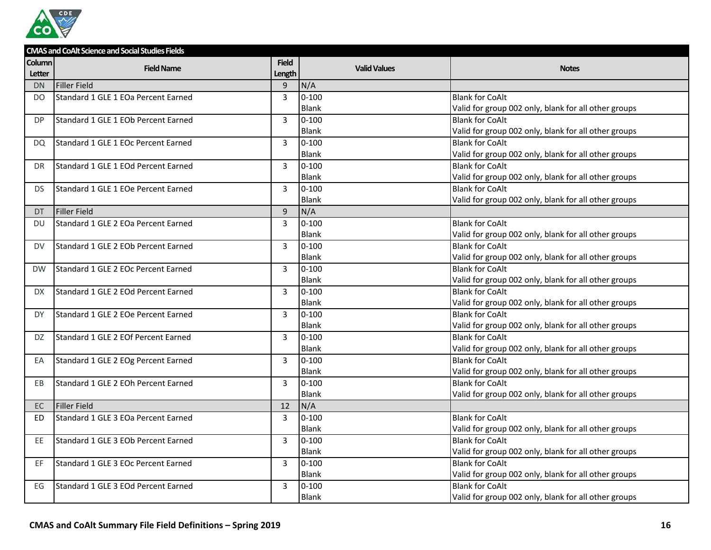

|           | <b>CMAS and CoAlt Science and Social Studies Fields</b> |                |                     |                                                      |  |  |
|-----------|---------------------------------------------------------|----------------|---------------------|------------------------------------------------------|--|--|
| Column    | <b>Field Name</b>                                       | <b>Field</b>   | <b>Valid Values</b> |                                                      |  |  |
| Letter    |                                                         | Length         |                     | <b>Notes</b>                                         |  |  |
| <b>DN</b> | <b>Filler Field</b>                                     | $\overline{9}$ | N/A                 |                                                      |  |  |
| DO        | <b>Standard 1 GLE 1 EOa Percent Earned</b>              | 3              | $0 - 100$           | <b>Blank for CoAlt</b>                               |  |  |
|           |                                                         |                | <b>Blank</b>        | Valid for group 002 only, blank for all other groups |  |  |
| DP        | Standard 1 GLE 1 EOb Percent Earned                     | 3              | $0 - 100$           | <b>Blank for CoAlt</b>                               |  |  |
|           |                                                         |                | <b>Blank</b>        | Valid for group 002 only, blank for all other groups |  |  |
| <b>DQ</b> | Standard 1 GLE 1 EOc Percent Earned                     | 3              | $0 - 100$           | <b>Blank for CoAlt</b>                               |  |  |
|           |                                                         |                | <b>Blank</b>        | Valid for group 002 only, blank for all other groups |  |  |
| DR.       | Standard 1 GLE 1 EOd Percent Earned                     | 3              | $0 - 100$           | <b>Blank for CoAlt</b>                               |  |  |
|           |                                                         |                | <b>Blank</b>        | Valid for group 002 only, blank for all other groups |  |  |
| DS.       | Standard 1 GLE 1 EOe Percent Earned                     | 3              | $0 - 100$           | <b>Blank for CoAlt</b>                               |  |  |
|           |                                                         |                | <b>Blank</b>        | Valid for group 002 only, blank for all other groups |  |  |
| <b>DT</b> | <b>Filler Field</b>                                     | 9              | N/A                 |                                                      |  |  |
| DU        | Standard 1 GLE 2 EOa Percent Earned                     | 3              | $0 - 100$           | <b>Blank for CoAlt</b>                               |  |  |
|           |                                                         |                | <b>Blank</b>        | Valid for group 002 only, blank for all other groups |  |  |
| DV        | Standard 1 GLE 2 EOb Percent Earned                     | 3              | $0 - 100$           | <b>Blank for CoAlt</b>                               |  |  |
|           |                                                         |                | <b>Blank</b>        | Valid for group 002 only, blank for all other groups |  |  |
| <b>DW</b> | Standard 1 GLE 2 EOc Percent Earned                     | 3              | $0 - 100$           | <b>Blank for CoAlt</b>                               |  |  |
|           |                                                         |                | <b>Blank</b>        | Valid for group 002 only, blank for all other groups |  |  |
| DX.       | Standard 1 GLE 2 EOd Percent Earned                     | $\overline{3}$ | $0 - 100$           | <b>Blank for CoAlt</b>                               |  |  |
|           |                                                         |                | <b>Blank</b>        | Valid for group 002 only, blank for all other groups |  |  |
| <b>DY</b> | Standard 1 GLE 2 EOe Percent Earned                     | 3              | $0 - 100$           | <b>Blank for CoAlt</b>                               |  |  |
|           |                                                         |                | <b>Blank</b>        | Valid for group 002 only, blank for all other groups |  |  |
| DZ.       | Standard 1 GLE 2 EOf Percent Earned                     | 3              | $0 - 100$           | <b>Blank for CoAlt</b>                               |  |  |
|           |                                                         |                | <b>Blank</b>        | Valid for group 002 only, blank for all other groups |  |  |
| ЕA        | Standard 1 GLE 2 EOg Percent Earned                     | 3              | $0 - 100$           | <b>Blank for CoAlt</b>                               |  |  |
|           |                                                         |                | Blank               | Valid for group 002 only, blank for all other groups |  |  |
| EB        | Standard 1 GLE 2 EOh Percent Earned                     | 3              | $0 - 100$           | <b>Blank for CoAlt</b>                               |  |  |
|           |                                                         |                | <b>Blank</b>        | Valid for group 002 only, blank for all other groups |  |  |
| EC        | <b>Filler Field</b>                                     | 12             | N/A                 |                                                      |  |  |
| ED.       | Standard 1 GLE 3 EOa Percent Earned                     | 3              | $0 - 100$           | <b>Blank for CoAlt</b>                               |  |  |
|           |                                                         |                | <b>Blank</b>        | Valid for group 002 only, blank for all other groups |  |  |
| EE.       | Standard 1 GLE 3 EOb Percent Earned                     | $\overline{3}$ | $0 - 100$           | <b>Blank for CoAlt</b>                               |  |  |
|           |                                                         |                | <b>Blank</b>        | Valid for group 002 only, blank for all other groups |  |  |
| EF        | Standard 1 GLE 3 EOc Percent Earned                     | 3              | $0 - 100$           | <b>Blank for CoAlt</b>                               |  |  |
|           |                                                         |                | <b>Blank</b>        | Valid for group 002 only, blank for all other groups |  |  |
| EG        | Standard 1 GLE 3 EOd Percent Earned                     | 3              | $0 - 100$           | <b>Blank for CoAlt</b>                               |  |  |
|           |                                                         |                | <b>Blank</b>        | Valid for group 002 only, blank for all other groups |  |  |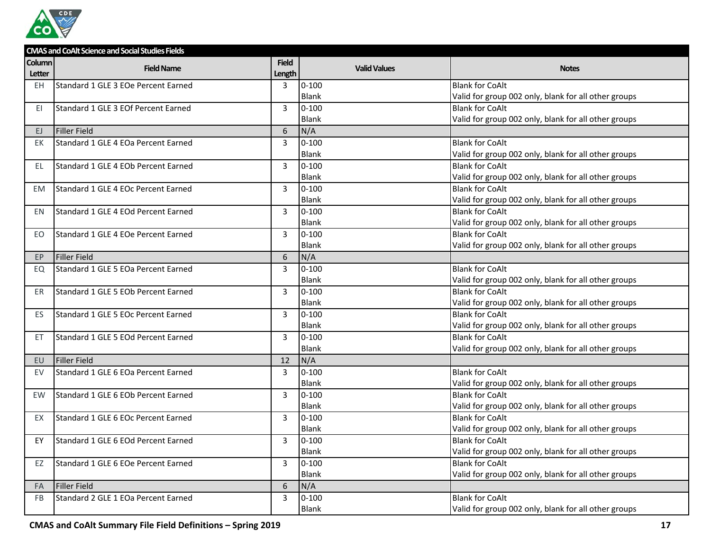

|           | <b>CMAS and CoAlt Science and Social Studies Fields</b> |              |                     |                                                      |  |  |
|-----------|---------------------------------------------------------|--------------|---------------------|------------------------------------------------------|--|--|
| Column    | <b>Field Name</b>                                       | <b>Field</b> | <b>Valid Values</b> | <b>Notes</b>                                         |  |  |
| Letter    |                                                         | Length       |                     |                                                      |  |  |
| <b>EH</b> | Standard 1 GLE 3 EOe Percent Earned                     | 3            | $0 - 100$           | <b>Blank for CoAlt</b>                               |  |  |
|           |                                                         |              | <b>Blank</b>        | Valid for group 002 only, blank for all other groups |  |  |
| EI        | Standard 1 GLE 3 EOf Percent Earned                     | 3            | $0 - 100$           | <b>Blank for CoAlt</b>                               |  |  |
|           |                                                         |              | Blank               | Valid for group 002 only, blank for all other groups |  |  |
| EJ.       | Filler Field                                            | 6            | N/A                 |                                                      |  |  |
| EK        | Standard 1 GLE 4 EOa Percent Earned                     | 3            | $0 - 100$           | <b>Blank for CoAlt</b>                               |  |  |
|           |                                                         |              | <b>Blank</b>        | Valid for group 002 only, blank for all other groups |  |  |
| EL.       | Standard 1 GLE 4 EOb Percent Earned                     | 3            | $0 - 100$           | <b>Blank for CoAlt</b>                               |  |  |
|           |                                                         |              | <b>Blank</b>        | Valid for group 002 only, blank for all other groups |  |  |
| EM        | Standard 1 GLE 4 EOc Percent Earned                     | 3            | $0 - 100$           | <b>Blank for CoAlt</b>                               |  |  |
|           |                                                         |              | Blank               | Valid for group 002 only, blank for all other groups |  |  |
| EN        | Standard 1 GLE 4 EOd Percent Earned                     | 3            | $0 - 100$           | <b>Blank for CoAlt</b>                               |  |  |
|           |                                                         |              | Blank               | Valid for group 002 only, blank for all other groups |  |  |
| EO.       | Standard 1 GLE 4 EOe Percent Earned                     | 3            | $0 - 100$           | <b>Blank for CoAlt</b>                               |  |  |
|           |                                                         |              | Blank               | Valid for group 002 only, blank for all other groups |  |  |
| EP.       | Filler Field                                            | 6            | N/A                 |                                                      |  |  |
| EQ        | Standard 1 GLE 5 EOa Percent Earned                     | 3            | $0 - 100$           | <b>Blank for CoAlt</b>                               |  |  |
|           |                                                         |              | <b>Blank</b>        | Valid for group 002 only, blank for all other groups |  |  |
| ER        | Standard 1 GLE 5 EOb Percent Earned                     | 3            | $0 - 100$           | <b>Blank for CoAlt</b>                               |  |  |
|           |                                                         |              | <b>Blank</b>        | Valid for group 002 only, blank for all other groups |  |  |
| ES.       | Standard 1 GLE 5 EOc Percent Earned                     | 3            | $0 - 100$           | <b>Blank for CoAlt</b>                               |  |  |
|           |                                                         |              | Blank               | Valid for group 002 only, blank for all other groups |  |  |
| ET.       | Standard 1 GLE 5 EOd Percent Earned                     | 3            | $0 - 100$           | <b>Blank for CoAlt</b>                               |  |  |
|           |                                                         |              | Blank               | Valid for group 002 only, blank for all other groups |  |  |
| EU        | Filler Field                                            | 12           | N/A                 |                                                      |  |  |
| EV        | Standard 1 GLE 6 EOa Percent Earned                     | 3            | $0 - 100$           | <b>Blank for CoAlt</b>                               |  |  |
|           |                                                         |              | Blank               | Valid for group 002 only, blank for all other groups |  |  |
| <b>EW</b> | Standard 1 GLE 6 EOb Percent Earned                     | 3            | $0 - 100$           | <b>Blank for CoAlt</b>                               |  |  |
|           |                                                         |              | <b>Blank</b>        | Valid for group 002 only, blank for all other groups |  |  |
| EX        | Standard 1 GLE 6 EOc Percent Earned                     | 3            | $0 - 100$           | <b>Blank for CoAlt</b>                               |  |  |
|           |                                                         |              | Blank               | Valid for group 002 only, blank for all other groups |  |  |
| EY        | Standard 1 GLE 6 EOd Percent Earned                     | 3            | $0 - 100$           | <b>Blank for CoAlt</b>                               |  |  |
|           |                                                         |              | <b>Blank</b>        | Valid for group 002 only, blank for all other groups |  |  |
| EZ        | Standard 1 GLE 6 EOe Percent Earned                     | 3            | $0 - 100$           | <b>Blank for CoAlt</b>                               |  |  |
|           |                                                         |              | Blank               | Valid for group 002 only, blank for all other groups |  |  |
| FA        | Filler Field                                            | 6            | N/A                 |                                                      |  |  |
| <b>FB</b> | Standard 2 GLE 1 EOa Percent Earned                     | 3            | $0 - 100$           | <b>Blank for CoAlt</b>                               |  |  |
|           |                                                         |              | Blank               | Valid for group 002 only, blank for all other groups |  |  |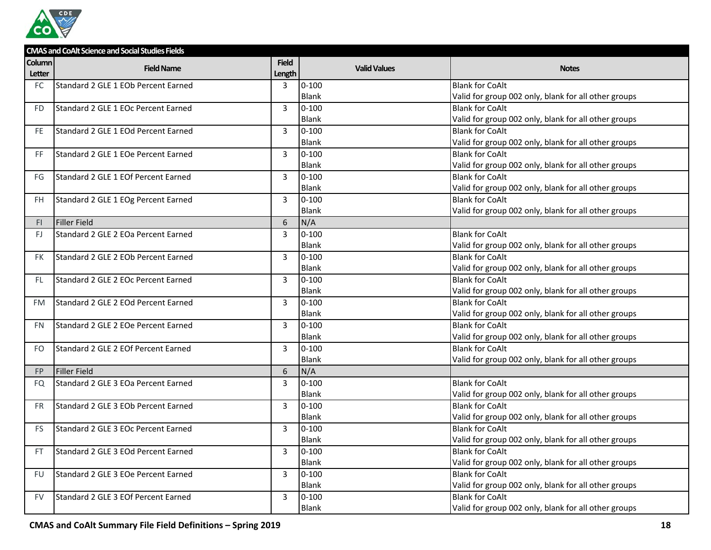

|           | <b>CMAS and CoAlt Science and Social Studies Fields</b> |              |                     |                                                      |  |  |
|-----------|---------------------------------------------------------|--------------|---------------------|------------------------------------------------------|--|--|
| Column    | <b>Field Name</b>                                       | <b>Field</b> | <b>Valid Values</b> | <b>Notes</b>                                         |  |  |
| Letter    |                                                         | Length       |                     |                                                      |  |  |
| <b>FC</b> | Standard 2 GLE 1 EOb Percent Earned                     | 3            | $0 - 100$           | <b>Blank for CoAlt</b>                               |  |  |
|           |                                                         |              | Blank               | Valid for group 002 only, blank for all other groups |  |  |
| FD.       | Standard 2 GLE 1 EOc Percent Earned                     | 3            | $0 - 100$           | <b>Blank for CoAlt</b>                               |  |  |
|           |                                                         |              | <b>Blank</b>        | Valid for group 002 only, blank for all other groups |  |  |
| FE.       | Standard 2 GLE 1 EOd Percent Earned                     | 3            | $0 - 100$           | <b>Blank for CoAlt</b>                               |  |  |
|           |                                                         |              | Blank               | Valid for group 002 only, blank for all other groups |  |  |
| FF.       | Standard 2 GLE 1 EOe Percent Earned                     | 3            | $0 - 100$           | <b>Blank for CoAlt</b>                               |  |  |
|           |                                                         |              | Blank               | Valid for group 002 only, blank for all other groups |  |  |
| FG        | Standard 2 GLE 1 EOf Percent Earned                     | 3            | $0 - 100$           | <b>Blank for CoAlt</b>                               |  |  |
|           |                                                         |              | Blank               | Valid for group 002 only, blank for all other groups |  |  |
| FH.       | Standard 2 GLE 1 EOg Percent Earned                     | 3            | $0 - 100$           | <b>Blank for CoAlt</b>                               |  |  |
|           |                                                         |              | Blank               | Valid for group 002 only, blank for all other groups |  |  |
| FI.       | Filler Field                                            | 6            | N/A                 |                                                      |  |  |
| FJ.       | Standard 2 GLE 2 EOa Percent Earned                     | 3            | $0 - 100$           | <b>Blank for CoAlt</b>                               |  |  |
|           |                                                         |              | Blank               | Valid for group 002 only, blank for all other groups |  |  |
| FK.       | Standard 2 GLE 2 EOb Percent Earned                     | 3            | $0 - 100$           | <b>Blank for CoAlt</b>                               |  |  |
|           |                                                         |              | Blank               | Valid for group 002 only, blank for all other groups |  |  |
| FL.       | Standard 2 GLE 2 EOc Percent Earned                     | 3            | $0 - 100$           | <b>Blank for CoAlt</b>                               |  |  |
|           |                                                         |              | Blank               | Valid for group 002 only, blank for all other groups |  |  |
| FM        | Standard 2 GLE 2 EOd Percent Earned                     | 3            | $0 - 100$           | <b>Blank for CoAlt</b>                               |  |  |
|           |                                                         |              | <b>Blank</b>        | Valid for group 002 only, blank for all other groups |  |  |
| FN.       | Standard 2 GLE 2 EOe Percent Earned                     | 3            | $0 - 100$           | <b>Blank for CoAlt</b>                               |  |  |
|           |                                                         |              | Blank               | Valid for group 002 only, blank for all other groups |  |  |
| FO.       | Standard 2 GLE 2 EOf Percent Earned                     | 3            | $0 - 100$           | <b>Blank for CoAlt</b>                               |  |  |
|           |                                                         |              | Blank               | Valid for group 002 only, blank for all other groups |  |  |
| FP.       | Filler Field                                            | 6            | N/A                 |                                                      |  |  |
| FQ        | Standard 2 GLE 3 EOa Percent Earned                     | 3            | $0 - 100$           | <b>Blank for CoAlt</b>                               |  |  |
|           |                                                         |              | <b>Blank</b>        | Valid for group 002 only, blank for all other groups |  |  |
| FR.       | Standard 2 GLE 3 EOb Percent Earned                     | 3            | $0 - 100$           | <b>Blank for CoAlt</b>                               |  |  |
|           |                                                         |              | Blank               | Valid for group 002 only, blank for all other groups |  |  |
| FS.       | Standard 2 GLE 3 EOc Percent Earned                     | 3            | $0 - 100$           | <b>Blank for CoAlt</b>                               |  |  |
|           |                                                         |              | Blank               | Valid for group 002 only, blank for all other groups |  |  |
| FT        | Standard 2 GLE 3 EOd Percent Earned                     | 3            | $0 - 100$           | <b>Blank for CoAlt</b>                               |  |  |
|           |                                                         |              | Blank               | Valid for group 002 only, blank for all other groups |  |  |
| FU        | Standard 2 GLE 3 EOe Percent Earned                     | 3            | $0 - 100$           | <b>Blank for CoAlt</b>                               |  |  |
|           |                                                         |              | Blank               | Valid for group 002 only, blank for all other groups |  |  |
| FV.       | Standard 2 GLE 3 EOf Percent Earned                     | 3            | $0 - 100$           | <b>Blank for CoAlt</b>                               |  |  |
|           |                                                         |              | Blank               | Valid for group 002 only, blank for all other groups |  |  |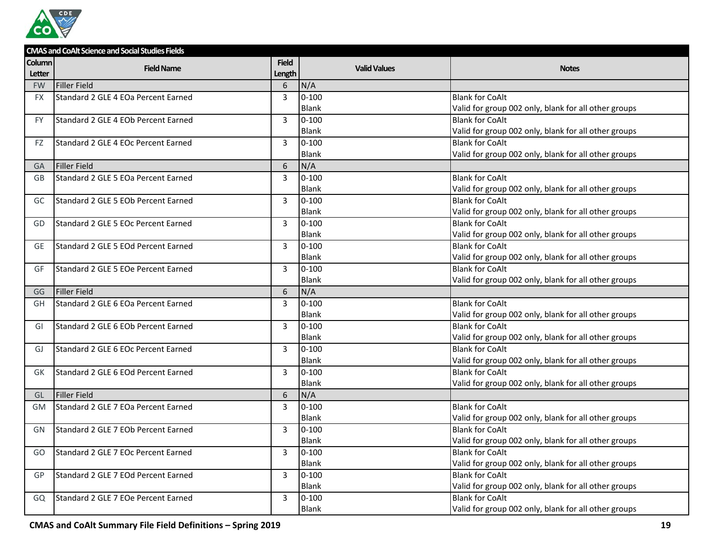

|           | <b>CMAS and CoAlt Science and Social Studies Fields</b> |              |                     |                                                      |
|-----------|---------------------------------------------------------|--------------|---------------------|------------------------------------------------------|
| Column    | <b>Field Name</b>                                       | <b>Field</b> | <b>Valid Values</b> | <b>Notes</b>                                         |
| Letter    |                                                         | Length       |                     |                                                      |
| <b>FW</b> | <b>Filler Field</b>                                     | 6            | N/A                 |                                                      |
| <b>FX</b> | Standard 2 GLE 4 EOa Percent Earned                     | 3            | $0 - 100$           | <b>Blank for CoAlt</b>                               |
|           |                                                         |              | Blank               | Valid for group 002 only, blank for all other groups |
| <b>FY</b> | Standard 2 GLE 4 EOb Percent Earned                     | 3            | $0 - 100$           | <b>Blank for CoAlt</b>                               |
|           |                                                         |              | <b>Blank</b>        | Valid for group 002 only, blank for all other groups |
| FZ        | Standard 2 GLE 4 EOc Percent Earned                     | 3            | $0 - 100$           | <b>Blank for CoAlt</b>                               |
|           |                                                         |              | <b>Blank</b>        | Valid for group 002 only, blank for all other groups |
| <b>GA</b> | <b>Filler Field</b>                                     | 6            | N/A                 |                                                      |
| GB        | Standard 2 GLE 5 EOa Percent Earned                     | 3            | $0 - 100$           | <b>Blank for CoAlt</b>                               |
|           |                                                         |              | Blank               | Valid for group 002 only, blank for all other groups |
| GC        | Standard 2 GLE 5 EOb Percent Earned                     | 3            | $0 - 100$           | <b>Blank for CoAlt</b>                               |
|           |                                                         |              | <b>Blank</b>        | Valid for group 002 only, blank for all other groups |
| GD        | Standard 2 GLE 5 EOc Percent Earned                     | 3            | $0 - 100$           | <b>Blank for CoAlt</b>                               |
|           |                                                         |              | <b>Blank</b>        | Valid for group 002 only, blank for all other groups |
| GE        | Standard 2 GLE 5 EOd Percent Earned                     | 3            | $0 - 100$           | <b>Blank for CoAlt</b>                               |
|           |                                                         |              | Blank               | Valid for group 002 only, blank for all other groups |
| GF        | Standard 2 GLE 5 EOe Percent Earned                     | 3            | $0 - 100$           | <b>Blank for CoAlt</b>                               |
|           |                                                         |              | Blank               | Valid for group 002 only, blank for all other groups |
| GG        | <b>Filler Field</b>                                     | 6            | N/A                 |                                                      |
| GH        | Standard 2 GLE 6 EOa Percent Earned                     | 3            | $0 - 100$           | <b>Blank for CoAlt</b>                               |
|           |                                                         |              | <b>Blank</b>        | Valid for group 002 only, blank for all other groups |
| GI        | Standard 2 GLE 6 EOb Percent Earned                     | 3            | $0 - 100$           | <b>Blank for CoAlt</b>                               |
|           |                                                         |              | Blank               | Valid for group 002 only, blank for all other groups |
| GJ        | Standard 2 GLE 6 EOc Percent Earned                     | 3            | $0 - 100$           | <b>Blank for CoAlt</b>                               |
|           |                                                         |              | Blank               | Valid for group 002 only, blank for all other groups |
| GK        | Standard 2 GLE 6 EOd Percent Earned                     | 3            | $0 - 100$           | <b>Blank for CoAlt</b>                               |
|           |                                                         |              | Blank               | Valid for group 002 only, blank for all other groups |
| GL        | <b>Filler Field</b>                                     | 6            | N/A                 |                                                      |
| <b>GM</b> | Standard 2 GLE 7 EOa Percent Earned                     | 3            | $0 - 100$           | <b>Blank for CoAlt</b>                               |
|           |                                                         |              | <b>Blank</b>        | Valid for group 002 only, blank for all other groups |
| GN        | Standard 2 GLE 7 EOb Percent Earned                     | 3            | $0 - 100$           | <b>Blank for CoAlt</b>                               |
|           |                                                         |              | Blank               | Valid for group 002 only, blank for all other groups |
| GO        | Standard 2 GLE 7 EOc Percent Earned                     | 3            | $0 - 100$           | <b>Blank for CoAlt</b>                               |
|           |                                                         |              | Blank               | Valid for group 002 only, blank for all other groups |
| GP        | Standard 2 GLE 7 EOd Percent Earned                     | 3            | $0 - 100$           | <b>Blank for CoAlt</b>                               |
|           |                                                         |              | Blank               | Valid for group 002 only, blank for all other groups |
| GQ        | Standard 2 GLE 7 EOe Percent Earned                     | 3            | $0 - 100$           | <b>Blank for CoAlt</b>                               |
|           |                                                         |              | Blank               | Valid for group 002 only, blank for all other groups |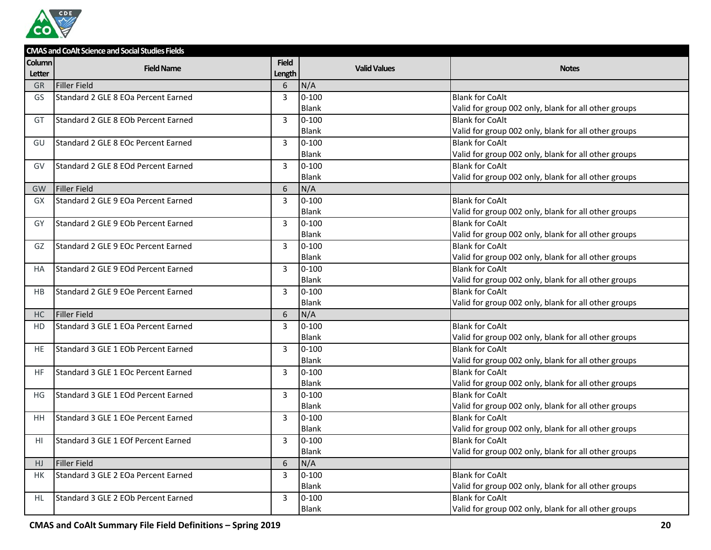

|           | <b>CMAS and CoAlt Science and Social Studies Fields</b> |              |                     |                                                      |  |  |
|-----------|---------------------------------------------------------|--------------|---------------------|------------------------------------------------------|--|--|
| Column    | <b>Field Name</b>                                       | <b>Field</b> | <b>Valid Values</b> | <b>Notes</b>                                         |  |  |
| Letter    |                                                         | Length       |                     |                                                      |  |  |
| <b>GR</b> | <b>Filler Field</b>                                     | 6            | N/A                 |                                                      |  |  |
| GS        | Standard 2 GLE 8 EOa Percent Earned                     | 3            | $0 - 100$           | <b>Blank for CoAlt</b>                               |  |  |
|           |                                                         |              | <b>Blank</b>        | Valid for group 002 only, blank for all other groups |  |  |
| GT        | Standard 2 GLE 8 EOb Percent Earned                     | 3            | $0 - 100$           | <b>Blank for CoAlt</b>                               |  |  |
|           |                                                         |              | <b>Blank</b>        | Valid for group 002 only, blank for all other groups |  |  |
| GU        | Standard 2 GLE 8 EOc Percent Earned                     | 3            | $0 - 100$           | <b>Blank for CoAlt</b>                               |  |  |
|           |                                                         |              | Blank               | Valid for group 002 only, blank for all other groups |  |  |
| GV        | Standard 2 GLE 8 EOd Percent Earned                     | 3            | $0 - 100$           | <b>Blank for CoAlt</b>                               |  |  |
|           |                                                         |              | <b>Blank</b>        | Valid for group 002 only, blank for all other groups |  |  |
| <b>GW</b> | Filler Field                                            | 6            | N/A                 |                                                      |  |  |
| <b>GX</b> | Standard 2 GLE 9 EOa Percent Earned                     | 3            | $0 - 100$           | <b>Blank for CoAlt</b>                               |  |  |
|           |                                                         |              | <b>Blank</b>        | Valid for group 002 only, blank for all other groups |  |  |
| GY        | Standard 2 GLE 9 EOb Percent Earned                     | 3            | $0 - 100$           | <b>Blank for CoAlt</b>                               |  |  |
|           |                                                         |              | Blank               | Valid for group 002 only, blank for all other groups |  |  |
| GZ        | Standard 2 GLE 9 EOc Percent Earned                     | 3            | $0 - 100$           | <b>Blank for CoAlt</b>                               |  |  |
|           |                                                         |              | Blank               | Valid for group 002 only, blank for all other groups |  |  |
| НA        | Standard 2 GLE 9 EOd Percent Earned                     | 3            | $0 - 100$           | <b>Blank for CoAlt</b>                               |  |  |
|           |                                                         |              | <b>Blank</b>        | Valid for group 002 only, blank for all other groups |  |  |
| HB        | Standard 2 GLE 9 EOe Percent Earned                     | 3            | $0 - 100$           | <b>Blank for CoAlt</b>                               |  |  |
|           |                                                         |              | Blank               | Valid for group 002 only, blank for all other groups |  |  |
| HC        | <b>Filler Field</b>                                     | 6            | N/A                 |                                                      |  |  |
| HD        | Standard 3 GLE 1 EOa Percent Earned                     | 3            | $0 - 100$           | <b>Blank for CoAlt</b>                               |  |  |
|           |                                                         |              | Blank               | Valid for group 002 only, blank for all other groups |  |  |
| <b>HE</b> | Standard 3 GLE 1 EOb Percent Earned                     | 3            | $0 - 100$           | <b>Blank for CoAlt</b>                               |  |  |
|           |                                                         |              | Blank               | Valid for group 002 only, blank for all other groups |  |  |
| <b>HF</b> | Standard 3 GLE 1 EOc Percent Earned                     | 3            | $0 - 100$           | <b>Blank for CoAlt</b>                               |  |  |
|           |                                                         |              | <b>Blank</b>        | Valid for group 002 only, blank for all other groups |  |  |
| ΗG        | Standard 3 GLE 1 EOd Percent Earned                     | 3            | $0 - 100$           | <b>Blank for CoAlt</b>                               |  |  |
|           |                                                         |              | <b>Blank</b>        | Valid for group 002 only, blank for all other groups |  |  |
| ΗH        | Standard 3 GLE 1 EOe Percent Earned                     | 3            | $0 - 100$           | <b>Blank for CoAlt</b>                               |  |  |
|           |                                                         |              | <b>Blank</b>        | Valid for group 002 only, blank for all other groups |  |  |
| ΗI        | Standard 3 GLE 1 EOf Percent Earned                     | 3            | $0 - 100$           | <b>Blank for CoAlt</b>                               |  |  |
|           |                                                         |              | <b>Blank</b>        | Valid for group 002 only, blank for all other groups |  |  |
| HJ        | <b>Filler Field</b>                                     | 6            | N/A                 |                                                      |  |  |
| HK        | Standard 3 GLE 2 EOa Percent Earned                     | 3            | $0 - 100$           | <b>Blank for CoAlt</b>                               |  |  |
|           |                                                         |              | Blank               | Valid for group 002 only, blank for all other groups |  |  |
| HL        | Standard 3 GLE 2 EOb Percent Earned                     | 3            | $0 - 100$           | <b>Blank for CoAlt</b>                               |  |  |
|           |                                                         |              | Blank               | Valid for group 002 only, blank for all other groups |  |  |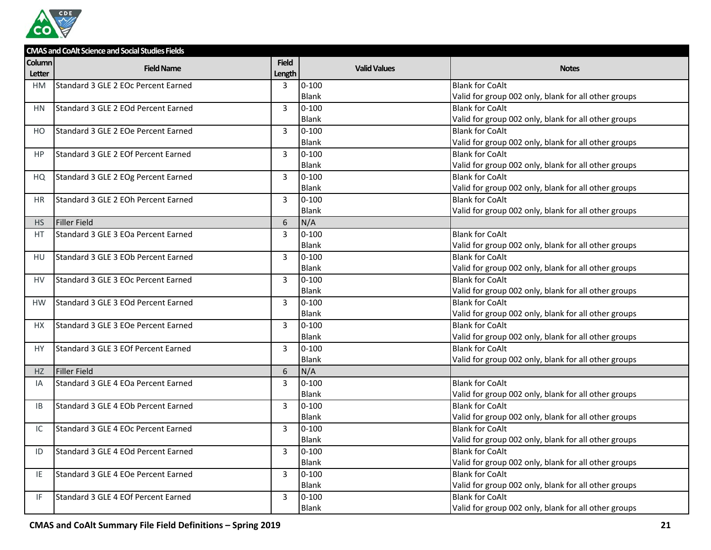

|           | <b>CMAS and CoAlt Science and Social Studies Fields</b> |              |                     |                                                      |  |  |
|-----------|---------------------------------------------------------|--------------|---------------------|------------------------------------------------------|--|--|
| Column    | <b>Field Name</b>                                       | <b>Field</b> | <b>Valid Values</b> | <b>Notes</b>                                         |  |  |
| Letter    |                                                         | Length       |                     |                                                      |  |  |
| HM        | Standard 3 GLE 2 EOc Percent Earned                     | 3            | $0 - 100$           | <b>Blank for CoAlt</b>                               |  |  |
|           |                                                         |              | Blank               | Valid for group 002 only, blank for all other groups |  |  |
| HN        | Standard 3 GLE 2 EOd Percent Earned                     | 3            | $0 - 100$           | <b>Blank for CoAlt</b>                               |  |  |
|           |                                                         |              | <b>Blank</b>        | Valid for group 002 only, blank for all other groups |  |  |
| HO.       | Standard 3 GLE 2 EOe Percent Earned                     | 3            | $0 - 100$           | <b>Blank for CoAlt</b>                               |  |  |
|           |                                                         |              | Blank               | Valid for group 002 only, blank for all other groups |  |  |
| HP.       | Standard 3 GLE 2 EOf Percent Earned                     | 3            | $0 - 100$           | <b>Blank for CoAlt</b>                               |  |  |
|           |                                                         |              | Blank               | Valid for group 002 only, blank for all other groups |  |  |
| HQ        | Standard 3 GLE 2 EOg Percent Earned                     | 3            | $0 - 100$           | <b>Blank for CoAlt</b>                               |  |  |
|           |                                                         |              | Blank               | Valid for group 002 only, blank for all other groups |  |  |
| HR.       | Standard 3 GLE 2 EOh Percent Earned                     | 3            | $0 - 100$           | <b>Blank for CoAlt</b>                               |  |  |
|           |                                                         |              | Blank               | Valid for group 002 only, blank for all other groups |  |  |
| HS        | Filler Field                                            | 6            | N/A                 |                                                      |  |  |
| <b>HT</b> | Standard 3 GLE 3 EOa Percent Earned                     | 3            | $0 - 100$           | <b>Blank for CoAlt</b>                               |  |  |
|           |                                                         |              | Blank               | Valid for group 002 only, blank for all other groups |  |  |
| HU        | Standard 3 GLE 3 EOb Percent Earned                     | 3            | $0 - 100$           | <b>Blank for CoAlt</b>                               |  |  |
|           |                                                         |              | <b>Blank</b>        | Valid for group 002 only, blank for all other groups |  |  |
| HV        | Standard 3 GLE 3 EOc Percent Earned                     | 3            | $0 - 100$           | <b>Blank for CoAlt</b>                               |  |  |
|           |                                                         |              | Blank               | Valid for group 002 only, blank for all other groups |  |  |
| <b>HW</b> | Standard 3 GLE 3 EOd Percent Earned                     | 3            | $0 - 100$           | <b>Blank for CoAlt</b>                               |  |  |
|           |                                                         |              | <b>Blank</b>        | Valid for group 002 only, blank for all other groups |  |  |
| HX.       | Standard 3 GLE 3 EOe Percent Earned                     | 3            | $0 - 100$           | <b>Blank for CoAlt</b>                               |  |  |
|           |                                                         |              | Blank               | Valid for group 002 only, blank for all other groups |  |  |
| HY.       | Standard 3 GLE 3 EOf Percent Earned                     | 3            | $0 - 100$           | <b>Blank for CoAlt</b>                               |  |  |
|           |                                                         |              | Blank               | Valid for group 002 only, blank for all other groups |  |  |
| HZ        | Filler Field                                            | 6            | N/A                 |                                                      |  |  |
| IA.       | Standard 3 GLE 4 EOa Percent Earned                     | 3            | $0 - 100$           | <b>Blank for CoAlt</b>                               |  |  |
|           |                                                         |              | <b>Blank</b>        | Valid for group 002 only, blank for all other groups |  |  |
| IB        | Standard 3 GLE 4 EOb Percent Earned                     | 3            | $0 - 100$           | <b>Blank for CoAlt</b>                               |  |  |
|           |                                                         |              | Blank               | Valid for group 002 only, blank for all other groups |  |  |
| IC        | Standard 3 GLE 4 EOc Percent Earned                     | 3            | $0 - 100$           | <b>Blank for CoAlt</b>                               |  |  |
|           |                                                         |              | Blank               | Valid for group 002 only, blank for all other groups |  |  |
| ID        | Standard 3 GLE 4 EOd Percent Earned                     | 3            | $0 - 100$           | <b>Blank for CoAlt</b>                               |  |  |
|           |                                                         |              | Blank               | Valid for group 002 only, blank for all other groups |  |  |
| IE        | Standard 3 GLE 4 EOe Percent Earned                     | 3            | $0 - 100$           | <b>Blank for CoAlt</b>                               |  |  |
|           |                                                         |              | Blank               | Valid for group 002 only, blank for all other groups |  |  |
| IF        | Standard 3 GLE 4 EOf Percent Earned                     | 3            | $0 - 100$           | <b>Blank for CoAlt</b>                               |  |  |
|           |                                                         |              | <b>Blank</b>        | Valid for group 002 only, blank for all other groups |  |  |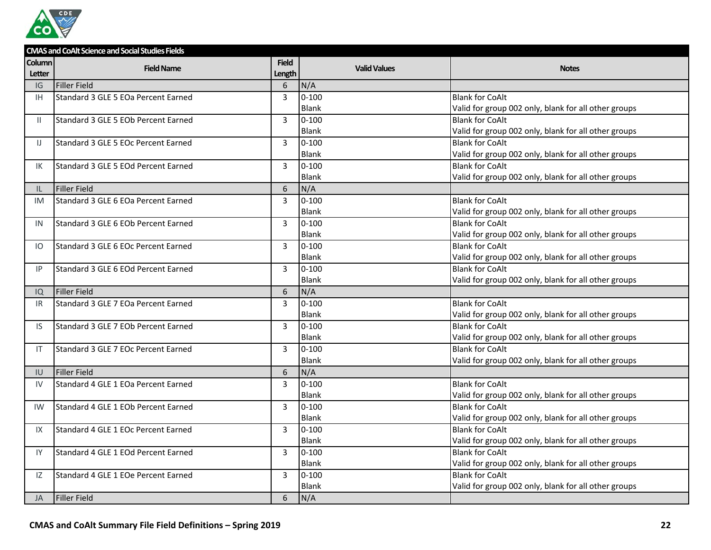

|               | <b>CMAS and CoAlt Science and Social Studies Fields</b> |                 |                     |                                                      |  |  |
|---------------|---------------------------------------------------------|-----------------|---------------------|------------------------------------------------------|--|--|
| <b>Column</b> | <b>Field Name</b>                                       | <b>Field</b>    | <b>Valid Values</b> | <b>Notes</b>                                         |  |  |
| Letter        |                                                         | Length          |                     |                                                      |  |  |
| IG            | <b>Filler Field</b>                                     | 6               | N/A                 |                                                      |  |  |
| IH.           | Standard 3 GLE 5 EOa Percent Earned                     | $\overline{3}$  | $0 - 100$           | <b>Blank for CoAlt</b>                               |  |  |
|               |                                                         |                 | <b>Blank</b>        | Valid for group 002 only, blank for all other groups |  |  |
| $\mathbb{I}$  | Standard 3 GLE 5 EOb Percent Earned                     | $\overline{3}$  | $0 - 100$           | <b>Blank for CoAlt</b>                               |  |  |
|               |                                                         |                 | <b>Blank</b>        | Valid for group 002 only, blank for all other groups |  |  |
| IJ            | Standard 3 GLE 5 EOc Percent Earned                     | $\overline{3}$  | $0 - 100$           | <b>Blank for CoAlt</b>                               |  |  |
|               |                                                         |                 | Blank               | Valid for group 002 only, blank for all other groups |  |  |
| IK            | Standard 3 GLE 5 EOd Percent Earned                     | $\overline{3}$  | $0 - 100$           | <b>Blank for CoAlt</b>                               |  |  |
|               |                                                         |                 | <b>Blank</b>        | Valid for group 002 only, blank for all other groups |  |  |
| IL            | <b>Filler Field</b>                                     | $6\phantom{1}6$ | N/A                 |                                                      |  |  |
| <b>IM</b>     | Standard 3 GLE 6 EOa Percent Earned                     | $\overline{3}$  | $0 - 100$           | <b>Blank for CoAlt</b>                               |  |  |
|               |                                                         |                 | <b>Blank</b>        | Valid for group 002 only, blank for all other groups |  |  |
| IN            | Standard 3 GLE 6 EOb Percent Earned                     | 3               | $0 - 100$           | <b>Blank for CoAlt</b>                               |  |  |
|               |                                                         |                 | <b>Blank</b>        | Valid for group 002 only, blank for all other groups |  |  |
| IO.           | Standard 3 GLE 6 EOc Percent Earned                     | $\mathbf{3}$    | $0 - 100$           | <b>Blank for CoAlt</b>                               |  |  |
|               |                                                         |                 | <b>Blank</b>        | Valid for group 002 only, blank for all other groups |  |  |
| IP            | Standard 3 GLE 6 EOd Percent Earned                     | $\overline{3}$  | $0 - 100$           | <b>Blank for CoAlt</b>                               |  |  |
|               |                                                         |                 | <b>Blank</b>        | Valid for group 002 only, blank for all other groups |  |  |
| IQ            | <b>Filler Field</b>                                     | 6               | N/A                 |                                                      |  |  |
| IR.           | Standard 3 GLE 7 EOa Percent Earned                     | $\overline{3}$  | $0 - 100$           | <b>Blank for CoAlt</b>                               |  |  |
|               |                                                         |                 | <b>Blank</b>        | Valid for group 002 only, blank for all other groups |  |  |
| IS.           | Standard 3 GLE 7 EOb Percent Earned                     | 3               | $0 - 100$           | <b>Blank for CoAlt</b>                               |  |  |
|               |                                                         |                 | <b>Blank</b>        | Valid for group 002 only, blank for all other groups |  |  |
| IT            | Standard 3 GLE 7 EOc Percent Earned                     | $\overline{3}$  | $0 - 100$           | <b>Blank for CoAlt</b>                               |  |  |
|               |                                                         |                 | <b>Blank</b>        | Valid for group 002 only, blank for all other groups |  |  |
| IU            | Filler Field                                            | 6               | N/A                 |                                                      |  |  |
| IV            | Standard 4 GLE 1 EOa Percent Earned                     | $\overline{3}$  | $0 - 100$           | <b>Blank for CoAlt</b>                               |  |  |
|               |                                                         |                 | <b>Blank</b>        | Valid for group 002 only, blank for all other groups |  |  |
| IW            | Standard 4 GLE 1 EOb Percent Earned                     | $\overline{3}$  | $0 - 100$           | <b>Blank for CoAlt</b>                               |  |  |
|               |                                                         |                 | Blank               | Valid for group 002 only, blank for all other groups |  |  |
| IX            | Standard 4 GLE 1 EOc Percent Earned                     | $\overline{3}$  | $0 - 100$           | <b>Blank for CoAlt</b>                               |  |  |
|               |                                                         |                 | <b>Blank</b>        | Valid for group 002 only, blank for all other groups |  |  |
| IY            | Standard 4 GLE 1 EOd Percent Earned                     | 3               | $0 - 100$           | <b>Blank for CoAlt</b>                               |  |  |
|               |                                                         |                 | Blank               | Valid for group 002 only, blank for all other groups |  |  |
| IZ            | Standard 4 GLE 1 EOe Percent Earned                     | $\overline{3}$  | $0 - 100$           | <b>Blank for CoAlt</b>                               |  |  |
|               |                                                         |                 | <b>Blank</b>        | Valid for group 002 only, blank for all other groups |  |  |
| <b>JA</b>     | <b>Filler Field</b>                                     | 6               | N/A                 |                                                      |  |  |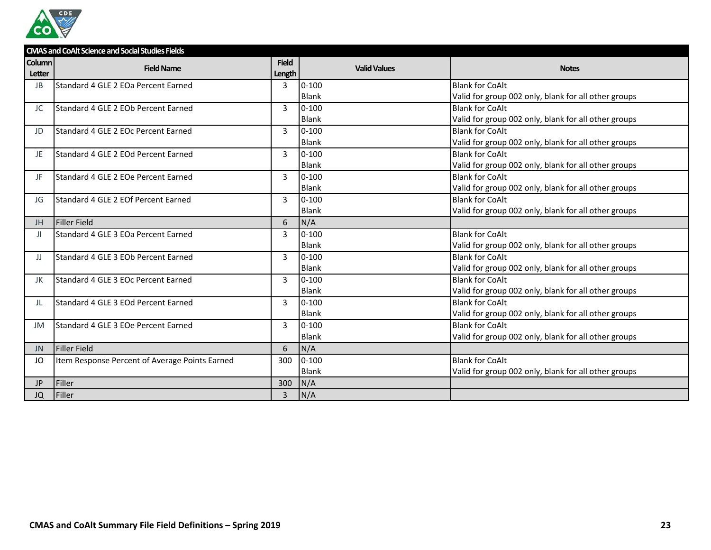

|                                | <b>CMAS and CoAlt Science and Social Studies Fields</b> |                        |                     |                                                      |  |  |
|--------------------------------|---------------------------------------------------------|------------------------|---------------------|------------------------------------------------------|--|--|
| <b>Column</b><br><b>Letter</b> | <b>Field Name</b>                                       | <b>Field</b><br>Length | <b>Valid Values</b> | <b>Notes</b>                                         |  |  |
| JB                             | Standard 4 GLE 2 EOa Percent Earned                     | 3                      | $0 - 100$           | <b>Blank for CoAlt</b>                               |  |  |
|                                |                                                         |                        | Blank               | Valid for group 002 only, blank for all other groups |  |  |
| JC                             | Standard 4 GLE 2 EOb Percent Earned                     | 3                      | $0 - 100$           | <b>Blank for CoAlt</b>                               |  |  |
|                                |                                                         |                        | <b>Blank</b>        | Valid for group 002 only, blank for all other groups |  |  |
| JD                             | Standard 4 GLE 2 EOc Percent Earned                     | 3                      | $0 - 100$           | <b>Blank for CoAlt</b>                               |  |  |
|                                |                                                         |                        | Blank               | Valid for group 002 only, blank for all other groups |  |  |
| JE                             | Standard 4 GLE 2 EOd Percent Earned                     | 3                      | $0 - 100$           | <b>Blank for CoAlt</b>                               |  |  |
|                                |                                                         |                        | <b>Blank</b>        | Valid for group 002 only, blank for all other groups |  |  |
| JF                             | Standard 4 GLE 2 EOe Percent Earned                     | 3                      | $0 - 100$           | <b>Blank for CoAlt</b>                               |  |  |
|                                |                                                         |                        | <b>Blank</b>        | Valid for group 002 only, blank for all other groups |  |  |
| JG                             | Standard 4 GLE 2 EOf Percent Earned                     | 3                      | $0 - 100$           | <b>Blank for CoAlt</b>                               |  |  |
|                                |                                                         |                        | Blank               | Valid for group 002 only, blank for all other groups |  |  |
| JH                             | <b>Filler Field</b>                                     | 6                      | N/A                 |                                                      |  |  |
| JI.                            | Standard 4 GLE 3 EOa Percent Earned                     | 3                      | $0 - 100$           | <b>Blank for CoAlt</b>                               |  |  |
|                                |                                                         |                        | <b>Blank</b>        | Valid for group 002 only, blank for all other groups |  |  |
| IJ                             | Standard 4 GLE 3 EOb Percent Earned                     | 3                      | $0 - 100$           | <b>Blank for CoAlt</b>                               |  |  |
|                                |                                                         |                        | <b>Blank</b>        | Valid for group 002 only, blank for all other groups |  |  |
| JK                             | Standard 4 GLE 3 EOc Percent Earned                     | 3                      | $0 - 100$           | <b>Blank for CoAlt</b>                               |  |  |
|                                |                                                         |                        | <b>Blank</b>        | Valid for group 002 only, blank for all other groups |  |  |
| JL                             | Standard 4 GLE 3 EOd Percent Earned                     | 3                      | $0 - 100$           | <b>Blank for CoAlt</b>                               |  |  |
|                                |                                                         |                        | <b>Blank</b>        | Valid for group 002 only, blank for all other groups |  |  |
| JM                             | Standard 4 GLE 3 EOe Percent Earned                     | 3                      | $0 - 100$           | <b>Blank for CoAlt</b>                               |  |  |
|                                |                                                         |                        | <b>Blank</b>        | Valid for group 002 only, blank for all other groups |  |  |
| <b>JN</b>                      | <b>Filler Field</b>                                     | 6                      | N/A                 |                                                      |  |  |
| JO                             | Item Response Percent of Average Points Earned          | 300                    | $0 - 100$           | <b>Blank for CoAlt</b>                               |  |  |
|                                |                                                         |                        | Blank               | Valid for group 002 only, blank for all other groups |  |  |
| JP.                            | Filler                                                  | 300                    | N/A                 |                                                      |  |  |
| JQ                             | Filler                                                  | 3                      | N/A                 |                                                      |  |  |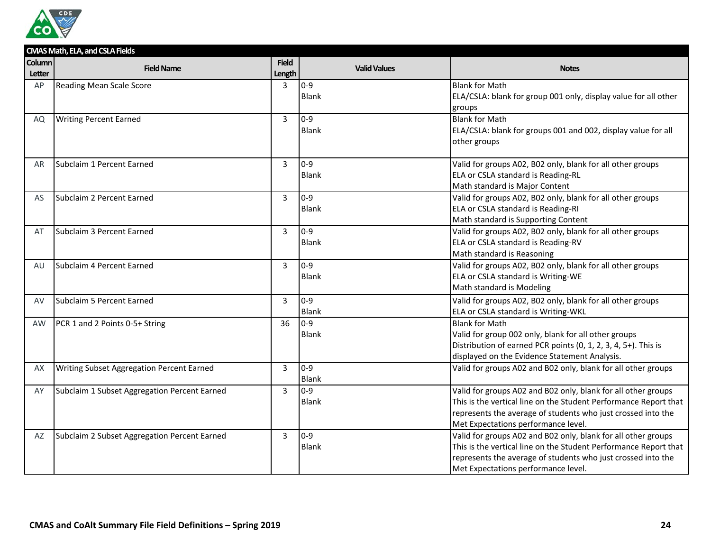

|                                | CMAS Math, ELA, and CSLA Fields              |                |                     |                                                                                                      |  |  |
|--------------------------------|----------------------------------------------|----------------|---------------------|------------------------------------------------------------------------------------------------------|--|--|
| <b>Column</b><br><b>Letter</b> | <b>Field Name</b>                            | <b>Field</b>   | <b>Valid Values</b> | <b>Notes</b>                                                                                         |  |  |
| AP                             |                                              | Length<br>3    | $0 - 9$             | <b>Blank for Math</b>                                                                                |  |  |
|                                | <b>Reading Mean Scale Score</b>              |                | <b>Blank</b>        | ELA/CSLA: blank for group 001 only, display value for all other                                      |  |  |
|                                |                                              |                |                     | groups                                                                                               |  |  |
| AQ                             | <b>Writing Percent Earned</b>                | $\overline{3}$ | $0 - 9$             | <b>Blank for Math</b>                                                                                |  |  |
|                                |                                              |                | <b>Blank</b>        | ELA/CSLA: blank for groups 001 and 002, display value for all                                        |  |  |
|                                |                                              |                |                     | other groups                                                                                         |  |  |
|                                |                                              |                |                     |                                                                                                      |  |  |
| AR                             | Subclaim 1 Percent Earned                    | $\overline{3}$ | $0 - 9$             | Valid for groups A02, B02 only, blank for all other groups                                           |  |  |
|                                |                                              |                | <b>Blank</b>        | ELA or CSLA standard is Reading-RL                                                                   |  |  |
|                                |                                              |                |                     | Math standard is Major Content                                                                       |  |  |
| AS                             | Subclaim 2 Percent Earned                    | $\overline{3}$ | $0 - 9$             | Valid for groups A02, B02 only, blank for all other groups                                           |  |  |
|                                |                                              |                | Blank               | ELA or CSLA standard is Reading-RI                                                                   |  |  |
|                                |                                              |                |                     | Math standard is Supporting Content                                                                  |  |  |
| AT                             | Subclaim 3 Percent Earned                    | $\overline{3}$ | $0 - 9$             | Valid for groups A02, B02 only, blank for all other groups                                           |  |  |
|                                |                                              |                | <b>Blank</b>        | ELA or CSLA standard is Reading-RV                                                                   |  |  |
|                                |                                              |                |                     | Math standard is Reasoning                                                                           |  |  |
| AU                             | Subclaim 4 Percent Earned                    | 3              | $0 - 9$             | Valid for groups A02, B02 only, blank for all other groups                                           |  |  |
|                                |                                              |                | <b>Blank</b>        | ELA or CSLA standard is Writing-WE                                                                   |  |  |
|                                |                                              |                |                     | Math standard is Modeling                                                                            |  |  |
| AV                             | Subclaim 5 Percent Earned                    | $\overline{3}$ | $0 - 9$             | Valid for groups A02, B02 only, blank for all other groups                                           |  |  |
|                                |                                              |                | <b>Blank</b>        | ELA or CSLA standard is Writing-WKL                                                                  |  |  |
| <b>AW</b>                      | PCR 1 and 2 Points 0-5+ String               | 36             | $0 - 9$             | <b>Blank for Math</b>                                                                                |  |  |
|                                |                                              |                | <b>Blank</b>        | Valid for group 002 only, blank for all other groups                                                 |  |  |
|                                |                                              |                |                     | Distribution of earned PCR points (0, 1, 2, 3, 4, 5+). This is                                       |  |  |
|                                |                                              |                |                     | displayed on the Evidence Statement Analysis.                                                        |  |  |
| AX                             | Writing Subset Aggregation Percent Earned    | 3              | $0 - 9$             | Valid for groups A02 and B02 only, blank for all other groups                                        |  |  |
|                                |                                              |                | <b>Blank</b>        |                                                                                                      |  |  |
| AY                             | Subclaim 1 Subset Aggregation Percent Earned | 3              | $0 - 9$             | Valid for groups A02 and B02 only, blank for all other groups                                        |  |  |
|                                |                                              |                | <b>Blank</b>        | This is the vertical line on the Student Performance Report that                                     |  |  |
|                                |                                              |                |                     | represents the average of students who just crossed into the                                         |  |  |
|                                |                                              | $\overline{3}$ | $0-9$               | Met Expectations performance level.<br>Valid for groups A02 and B02 only, blank for all other groups |  |  |
| AZ                             | Subclaim 2 Subset Aggregation Percent Earned |                | <b>Blank</b>        | This is the vertical line on the Student Performance Report that                                     |  |  |
|                                |                                              |                |                     | represents the average of students who just crossed into the                                         |  |  |
|                                |                                              |                |                     | Met Expectations performance level.                                                                  |  |  |
|                                |                                              |                |                     |                                                                                                      |  |  |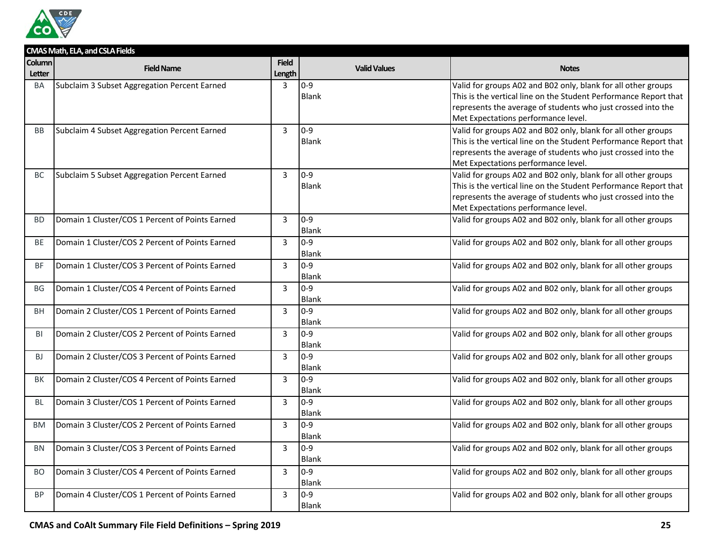

|                  | CMAS Math, ELA, and CSLA Fields                 |                        |                         |                                                                                                                                                                                                                                          |
|------------------|-------------------------------------------------|------------------------|-------------------------|------------------------------------------------------------------------------------------------------------------------------------------------------------------------------------------------------------------------------------------|
| Column<br>Letter | <b>Field Name</b>                               | <b>Field</b><br>Length | <b>Valid Values</b>     | <b>Notes</b>                                                                                                                                                                                                                             |
| BA               | Subclaim 3 Subset Aggregation Percent Earned    | 3                      | $0 - 9$<br><b>Blank</b> | Valid for groups A02 and B02 only, blank for all other groups<br>This is the vertical line on the Student Performance Report that<br>represents the average of students who just crossed into the<br>Met Expectations performance level. |
| <b>BB</b>        | Subclaim 4 Subset Aggregation Percent Earned    | $\overline{3}$         | $0 - 9$<br><b>Blank</b> | Valid for groups A02 and B02 only, blank for all other groups<br>This is the vertical line on the Student Performance Report that<br>represents the average of students who just crossed into the<br>Met Expectations performance level. |
| BC               | Subclaim 5 Subset Aggregation Percent Earned    | 3                      | $0 - 9$<br><b>Blank</b> | Valid for groups A02 and B02 only, blank for all other groups<br>This is the vertical line on the Student Performance Report that<br>represents the average of students who just crossed into the<br>Met Expectations performance level. |
| <b>BD</b>        | Domain 1 Cluster/COS 1 Percent of Points Earned | 3                      | $0 - 9$<br><b>Blank</b> | Valid for groups A02 and B02 only, blank for all other groups                                                                                                                                                                            |
| <b>BE</b>        | Domain 1 Cluster/COS 2 Percent of Points Earned | $\overline{3}$         | $0 - 9$<br><b>Blank</b> | Valid for groups A02 and B02 only, blank for all other groups                                                                                                                                                                            |
| <b>BF</b>        | Domain 1 Cluster/COS 3 Percent of Points Earned | $\overline{3}$         | $0 - 9$<br><b>Blank</b> | Valid for groups A02 and B02 only, blank for all other groups                                                                                                                                                                            |
| <b>BG</b>        | Domain 1 Cluster/COS 4 Percent of Points Earned | 3                      | $0 - 9$<br><b>Blank</b> | Valid for groups A02 and B02 only, blank for all other groups                                                                                                                                                                            |
| <b>BH</b>        | Domain 2 Cluster/COS 1 Percent of Points Earned | $\overline{3}$         | $0 - 9$<br><b>Blank</b> | Valid for groups A02 and B02 only, blank for all other groups                                                                                                                                                                            |
| BI               | Domain 2 Cluster/COS 2 Percent of Points Earned | 3                      | $0 - 9$<br>Blank        | Valid for groups A02 and B02 only, blank for all other groups                                                                                                                                                                            |
| <b>BJ</b>        | Domain 2 Cluster/COS 3 Percent of Points Earned | 3                      | $0 - 9$<br><b>Blank</b> | Valid for groups A02 and B02 only, blank for all other groups                                                                                                                                                                            |
| <b>BK</b>        | Domain 2 Cluster/COS 4 Percent of Points Earned | $\overline{3}$         | $0 - 9$<br><b>Blank</b> | Valid for groups A02 and B02 only, blank for all other groups                                                                                                                                                                            |
| BL               | Domain 3 Cluster/COS 1 Percent of Points Earned | $\overline{3}$         | $0 - 9$<br><b>Blank</b> | Valid for groups A02 and B02 only, blank for all other groups                                                                                                                                                                            |
| <b>BM</b>        | Domain 3 Cluster/COS 2 Percent of Points Earned | $\overline{3}$         | $0 - 9$<br><b>Blank</b> | Valid for groups A02 and B02 only, blank for all other groups                                                                                                                                                                            |
| BN               | Domain 3 Cluster/COS 3 Percent of Points Earned | $\overline{3}$         | $0 - 9$<br><b>Blank</b> | Valid for groups A02 and B02 only, blank for all other groups                                                                                                                                                                            |
| <b>BO</b>        | Domain 3 Cluster/COS 4 Percent of Points Earned | $\overline{3}$         | $0 - 9$<br><b>Blank</b> | Valid for groups A02 and B02 only, blank for all other groups                                                                                                                                                                            |
| <b>BP</b>        | Domain 4 Cluster/COS 1 Percent of Points Earned | 3                      | $0 - 9$<br><b>Blank</b> | Valid for groups A02 and B02 only, blank for all other groups                                                                                                                                                                            |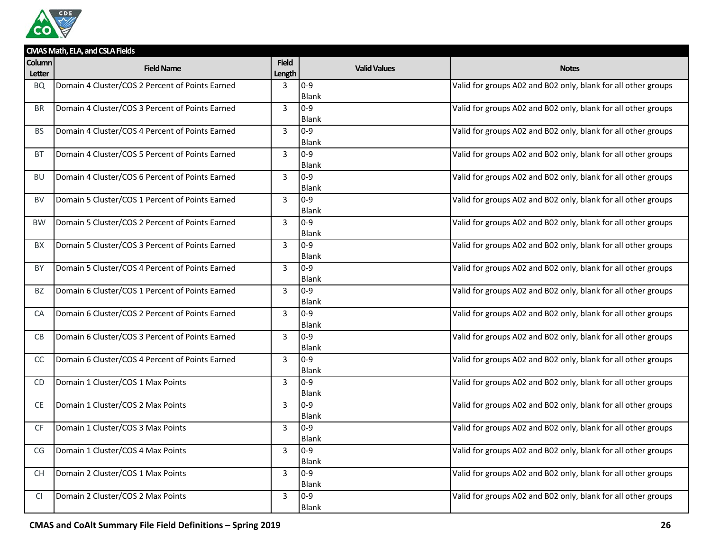

|               | CMAS Math, ELA, and CSLA Fields                 |                |                       |                                                               |  |  |  |
|---------------|-------------------------------------------------|----------------|-----------------------|---------------------------------------------------------------|--|--|--|
| <b>Column</b> | <b>Field Name</b>                               | <b>Field</b>   | <b>Valid Values</b>   | <b>Notes</b>                                                  |  |  |  |
| Letter        |                                                 | Length         |                       |                                                               |  |  |  |
| <b>BQ</b>     | Domain 4 Cluster/COS 2 Percent of Points Earned | 3              | $0 - 9$               | Valid for groups A02 and B02 only, blank for all other groups |  |  |  |
|               |                                                 |                | Blank                 |                                                               |  |  |  |
| <b>BR</b>     | Domain 4 Cluster/COS 3 Percent of Points Earned | 3              | $0-9$<br><b>Blank</b> | Valid for groups A02 and B02 only, blank for all other groups |  |  |  |
|               |                                                 |                | $0 - 9$               |                                                               |  |  |  |
| <b>BS</b>     | Domain 4 Cluster/COS 4 Percent of Points Earned | 3              | <b>Blank</b>          | Valid for groups A02 and B02 only, blank for all other groups |  |  |  |
| <b>BT</b>     | Domain 4 Cluster/COS 5 Percent of Points Earned | 3              | $0 - 9$               | Valid for groups A02 and B02 only, blank for all other groups |  |  |  |
|               |                                                 |                | <b>Blank</b>          |                                                               |  |  |  |
| <b>BU</b>     | Domain 4 Cluster/COS 6 Percent of Points Earned | 3              | $0 - 9$               | Valid for groups A02 and B02 only, blank for all other groups |  |  |  |
|               |                                                 |                | Blank                 |                                                               |  |  |  |
| BV            | Domain 5 Cluster/COS 1 Percent of Points Earned | 3              | $0-9$                 | Valid for groups A02 and B02 only, blank for all other groups |  |  |  |
|               |                                                 |                | Blank                 |                                                               |  |  |  |
| <b>BW</b>     | Domain 5 Cluster/COS 2 Percent of Points Earned | 3              | $0-9$                 | Valid for groups A02 and B02 only, blank for all other groups |  |  |  |
|               |                                                 |                | <b>Blank</b>          |                                                               |  |  |  |
| BX            | Domain 5 Cluster/COS 3 Percent of Points Earned | 3              | $0 - 9$               | Valid for groups A02 and B02 only, blank for all other groups |  |  |  |
|               |                                                 |                | Blank                 |                                                               |  |  |  |
| BY            | Domain 5 Cluster/COS 4 Percent of Points Earned | 3              | $0-9$                 | Valid for groups A02 and B02 only, blank for all other groups |  |  |  |
|               |                                                 |                | Blank                 |                                                               |  |  |  |
| <b>BZ</b>     | Domain 6 Cluster/COS 1 Percent of Points Earned | $\overline{3}$ | $0 - 9$               | Valid for groups A02 and B02 only, blank for all other groups |  |  |  |
|               |                                                 |                | <b>Blank</b>          |                                                               |  |  |  |
| CA            | Domain 6 Cluster/COS 2 Percent of Points Earned | 3              | $0 - 9$               | Valid for groups A02 and B02 only, blank for all other groups |  |  |  |
|               |                                                 |                | <b>Blank</b>          |                                                               |  |  |  |
| CB            | Domain 6 Cluster/COS 3 Percent of Points Earned | $\overline{3}$ | $0 - 9$               | Valid for groups A02 and B02 only, blank for all other groups |  |  |  |
|               |                                                 |                | Blank                 |                                                               |  |  |  |
| <sub>CC</sub> | Domain 6 Cluster/COS 4 Percent of Points Earned | 3              | $0 - 9$               | Valid for groups A02 and B02 only, blank for all other groups |  |  |  |
|               |                                                 |                | Blank                 |                                                               |  |  |  |
| <b>CD</b>     | Domain 1 Cluster/COS 1 Max Points               | 3              | $0-9$<br><b>Blank</b> | Valid for groups A02 and B02 only, blank for all other groups |  |  |  |
| <b>CE</b>     | Domain 1 Cluster/COS 2 Max Points               | 3              | $0-9$                 | Valid for groups A02 and B02 only, blank for all other groups |  |  |  |
|               |                                                 |                | <b>Blank</b>          |                                                               |  |  |  |
| <b>CF</b>     | Domain 1 Cluster/COS 3 Max Points               | 3              | $0 - 9$               | Valid for groups A02 and B02 only, blank for all other groups |  |  |  |
|               |                                                 |                | <b>Blank</b>          |                                                               |  |  |  |
| CG            | Domain 1 Cluster/COS 4 Max Points               | 3              | $0-9$                 | Valid for groups A02 and B02 only, blank for all other groups |  |  |  |
|               |                                                 |                | <b>Blank</b>          |                                                               |  |  |  |
| <b>CH</b>     | Domain 2 Cluster/COS 1 Max Points               | 3              | $0 - 9$               | Valid for groups A02 and B02 only, blank for all other groups |  |  |  |
|               |                                                 |                | Blank                 |                                                               |  |  |  |
| <b>CI</b>     | Domain 2 Cluster/COS 2 Max Points               | 3              | $0 - 9$               | Valid for groups A02 and B02 only, blank for all other groups |  |  |  |
|               |                                                 |                | Blank                 |                                                               |  |  |  |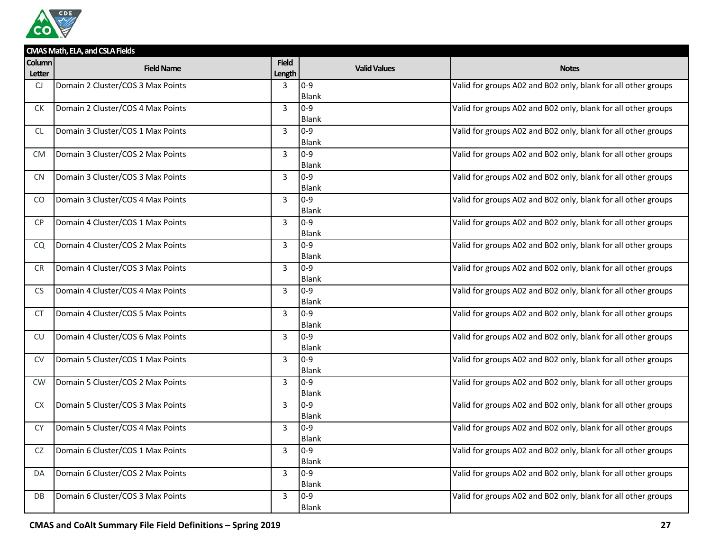

|                         | CMAS Math, ELA, and CSLA Fields   |                        |                     |                                                               |  |  |  |
|-------------------------|-----------------------------------|------------------------|---------------------|---------------------------------------------------------------|--|--|--|
| <b>Column</b><br>Letter | <b>Field Name</b>                 | <b>Field</b><br>Length | <b>Valid Values</b> | <b>Notes</b>                                                  |  |  |  |
| CJ                      | Domain 2 Cluster/COS 3 Max Points | 3                      | $0 - 9$             | Valid for groups A02 and B02 only, blank for all other groups |  |  |  |
|                         |                                   |                        | <b>Blank</b>        |                                                               |  |  |  |
| СK                      | Domain 2 Cluster/COS 4 Max Points | 3                      | $0-9$               | Valid for groups A02 and B02 only, blank for all other groups |  |  |  |
|                         |                                   |                        | <b>Blank</b>        |                                                               |  |  |  |
| CL                      | Domain 3 Cluster/COS 1 Max Points | 3                      | $0 - 9$             | Valid for groups A02 and B02 only, blank for all other groups |  |  |  |
|                         |                                   |                        | <b>Blank</b>        |                                                               |  |  |  |
| <b>CM</b>               | Domain 3 Cluster/COS 2 Max Points | 3                      | $0 - 9$             | Valid for groups A02 and B02 only, blank for all other groups |  |  |  |
|                         |                                   |                        | <b>Blank</b>        |                                                               |  |  |  |
| <b>CN</b>               | Domain 3 Cluster/COS 3 Max Points | 3                      | $0-9$               | Valid for groups A02 and B02 only, blank for all other groups |  |  |  |
|                         |                                   |                        | Blank<br>$0-9$      |                                                               |  |  |  |
| CO                      | Domain 3 Cluster/COS 4 Max Points | 3                      | Blank               | Valid for groups A02 and B02 only, blank for all other groups |  |  |  |
| <b>CP</b>               | Domain 4 Cluster/COS 1 Max Points | 3                      | $0 - 9$             | Valid for groups A02 and B02 only, blank for all other groups |  |  |  |
|                         |                                   |                        | <b>Blank</b>        |                                                               |  |  |  |
| CQ                      | Domain 4 Cluster/COS 2 Max Points | 3                      | $0 - 9$             | Valid for groups A02 and B02 only, blank for all other groups |  |  |  |
|                         |                                   |                        | Blank               |                                                               |  |  |  |
| <b>CR</b>               | Domain 4 Cluster/COS 3 Max Points | 3                      | $0-9$               | Valid for groups A02 and B02 only, blank for all other groups |  |  |  |
|                         |                                   |                        | <b>Blank</b>        |                                                               |  |  |  |
| <b>CS</b>               | Domain 4 Cluster/COS 4 Max Points | 3                      | $0 - 9$             | Valid for groups A02 and B02 only, blank for all other groups |  |  |  |
|                         |                                   |                        | Blank               |                                                               |  |  |  |
| CT                      | Domain 4 Cluster/COS 5 Max Points | 3                      | $0-9$               | Valid for groups A02 and B02 only, blank for all other groups |  |  |  |
|                         |                                   |                        | <b>Blank</b>        |                                                               |  |  |  |
| CU                      | Domain 4 Cluster/COS 6 Max Points | 3                      | $0 - 9$             | Valid for groups A02 and B02 only, blank for all other groups |  |  |  |
|                         |                                   |                        | <b>Blank</b>        |                                                               |  |  |  |
| <b>CV</b>               | Domain 5 Cluster/COS 1 Max Points | 3                      | $0 - 9$<br>Blank    | Valid for groups A02 and B02 only, blank for all other groups |  |  |  |
| <b>CW</b>               | Domain 5 Cluster/COS 2 Max Points | $\overline{3}$         | $0-9$               | Valid for groups A02 and B02 only, blank for all other groups |  |  |  |
|                         |                                   |                        | <b>Blank</b>        |                                                               |  |  |  |
| <b>CX</b>               | Domain 5 Cluster/COS 3 Max Points | 3                      | $0-9$               | Valid for groups A02 and B02 only, blank for all other groups |  |  |  |
|                         |                                   |                        | <b>Blank</b>        |                                                               |  |  |  |
| <b>CY</b>               | Domain 5 Cluster/COS 4 Max Points | 3                      | $0 - 9$             | Valid for groups A02 and B02 only, blank for all other groups |  |  |  |
|                         |                                   |                        | Blank               |                                                               |  |  |  |
| CZ                      | Domain 6 Cluster/COS 1 Max Points | 3                      | $0 - 9$             | Valid for groups A02 and B02 only, blank for all other groups |  |  |  |
|                         |                                   |                        | Blank               |                                                               |  |  |  |
| DA                      | Domain 6 Cluster/COS 2 Max Points | 3                      | $0 - 9$             | Valid for groups A02 and B02 only, blank for all other groups |  |  |  |
|                         |                                   |                        | Blank               |                                                               |  |  |  |
| DB                      | Domain 6 Cluster/COS 3 Max Points | 3                      | $0 - 9$             | Valid for groups A02 and B02 only, blank for all other groups |  |  |  |
|                         |                                   |                        | Blank               |                                                               |  |  |  |